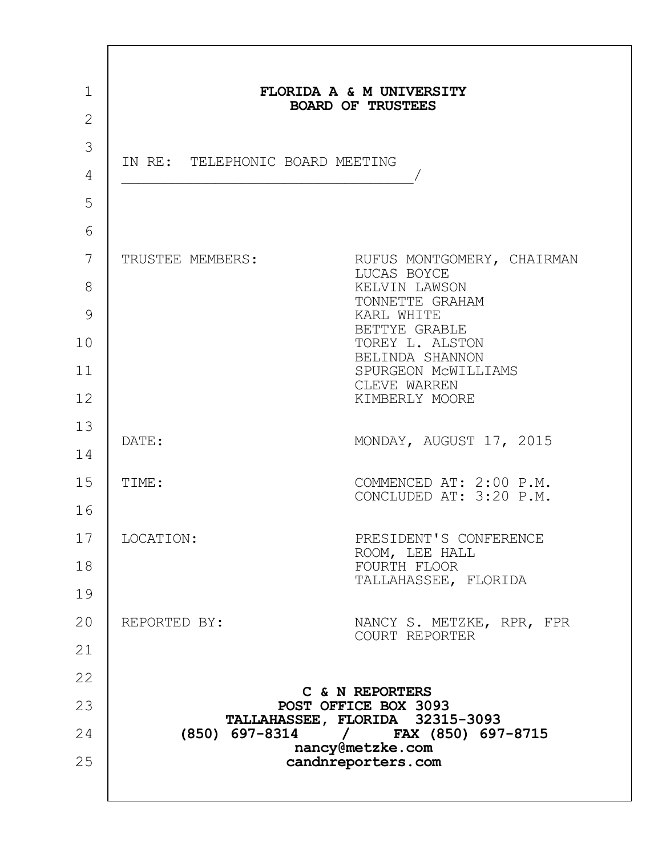| $\mathbf 1$    |                                 | FLORIDA A & M UNIVERSITY<br><b>BOARD OF TRUSTEES</b>                   |
|----------------|---------------------------------|------------------------------------------------------------------------|
| $\overline{2}$ |                                 |                                                                        |
| 3              | IN RE: TELEPHONIC BOARD MEETING |                                                                        |
| 4              |                                 |                                                                        |
| 5              |                                 |                                                                        |
| 6              |                                 |                                                                        |
| 7              | TRUSTEE MEMBERS:                | RUFUS MONTGOMERY, CHAIRMAN<br>LUCAS BOYCE                              |
| 8              |                                 | KELVIN LAWSON<br>TONNETTE GRAHAM                                       |
| 9              |                                 | KARL WHITE<br>BETTYE GRABLE                                            |
| 10             |                                 | TOREY L. ALSTON<br>BELINDA SHANNON                                     |
| 11             |                                 | SPURGEON MCWILLIAMS<br>CLEVE WARREN                                    |
| 12             |                                 | KIMBERLY MOORE                                                         |
| 13             |                                 |                                                                        |
| 14             | DATE:                           | MONDAY, AUGUST 17, 2015                                                |
| 15             | TIME:                           | COMMENCED AT: 2:00 P.M.                                                |
| 16             |                                 | CONCLUDED AT: 3:20 P.M.                                                |
| 17             | LOCATION:                       | PRESIDENT'S CONFERENCE                                                 |
| 18             |                                 | ROOM, LEE HALL<br>FOURTH FLOOR                                         |
| 19             |                                 | TALLAHASSEE, FLORIDA                                                   |
| 20             | REPORTED BY:                    | NANCY S. METZKE, RPR, FPR                                              |
| 21             |                                 | COURT REPORTER                                                         |
| 22             |                                 |                                                                        |
| 23             |                                 | C & N REPORTERS<br>POST OFFICE BOX 3093                                |
| 24             |                                 | TALLAHASSEE, FLORIDA 32315-3093<br>(850) 697-8314 / FAX (850) 697-8715 |
| 25             |                                 | nancy@metzke.com<br>candnreporters.com                                 |
|                |                                 |                                                                        |
|                |                                 |                                                                        |

 $\Gamma$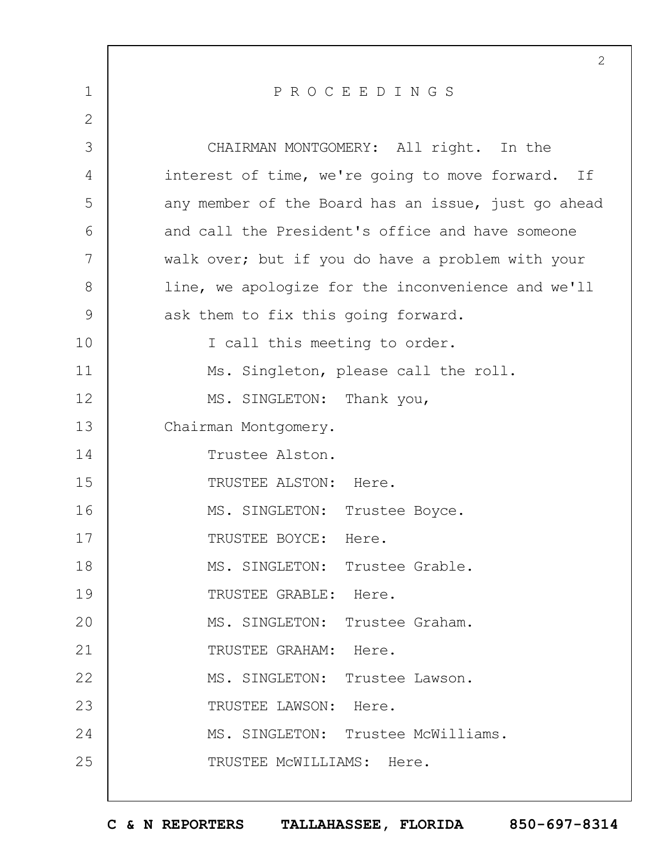|                | 2                                                   |
|----------------|-----------------------------------------------------|
| $\mathbf{1}$   | PROCEEDINGS                                         |
| $\overline{2}$ |                                                     |
| 3              | CHAIRMAN MONTGOMERY: All right. In the              |
| 4              | interest of time, we're going to move forward. If   |
| 5              | any member of the Board has an issue, just go ahead |
| 6              | and call the President's office and have someone    |
| 7              | walk over; but if you do have a problem with your   |
| 8              | line, we apologize for the inconvenience and we'll  |
| $\mathcal{G}$  | ask them to fix this going forward.                 |
| 10             | I call this meeting to order.                       |
| 11             | Ms. Singleton, please call the roll.                |
| 12             | MS. SINGLETON: Thank you,                           |
| 13             | Chairman Montgomery.                                |
| 14             | Trustee Alston.                                     |
| 15             | TRUSTEE ALSTON: Here.                               |
| 16             | MS. SINGLETON: Trustee Boyce.                       |
| 17             | TRUSTEE BOYCE: Here.                                |
| 18             | MS. SINGLETON: Trustee Grable.                      |
| 19             | TRUSTEE GRABLE: Here.                               |
| 20             | MS. SINGLETON: Trustee Graham.                      |
| 21             | TRUSTEE GRAHAM: Here.                               |
| 22             | MS. SINGLETON: Trustee Lawson.                      |
| 23             | TRUSTEE LAWSON: Here.                               |
| 24             | MS. SINGLETON: Trustee McWilliams.                  |
| 25             | TRUSTEE MCWILLIAMS: Here.                           |
|                |                                                     |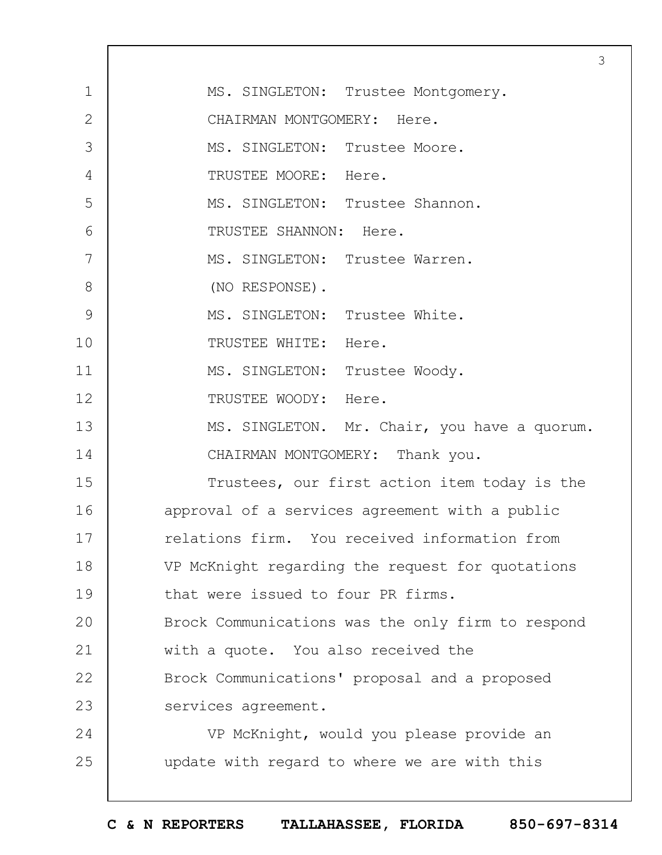|               | 3                                                 |
|---------------|---------------------------------------------------|
| $\mathbf{1}$  | MS. SINGLETON: Trustee Montgomery.                |
| $\mathbf{2}$  | CHAIRMAN MONTGOMERY: Here.                        |
| 3             | MS. SINGLETON: Trustee Moore.                     |
| 4             | TRUSTEE MOORE: Here.                              |
| 5             | MS. SINGLETON: Trustee Shannon.                   |
| 6             | TRUSTEE SHANNON: Here.                            |
| 7             | MS. SINGLETON: Trustee Warren.                    |
| 8             | (NO RESPONSE).                                    |
| $\mathcal{G}$ | MS. SINGLETON: Trustee White.                     |
| 10            | TRUSTEE WHITE: Here.                              |
| 11            | MS. SINGLETON: Trustee Woody.                     |
| 12            | TRUSTEE WOODY: Here.                              |
| 13            | MS. SINGLETON. Mr. Chair, you have a quorum.      |
| 14            | CHAIRMAN MONTGOMERY: Thank you.                   |
| 15            | Trustees, our first action item today is the      |
| 16            | approval of a services agreement with a public    |
| 17            | relations firm. You received information from     |
| 18            | VP McKnight regarding the request for quotations  |
| 19            | that were issued to four PR firms.                |
| 20            | Brock Communications was the only firm to respond |
| 21            | with a quote. You also received the               |
| 22            | Brock Communications' proposal and a proposed     |
| 23            | services agreement.                               |
| 24            | VP McKnight, would you please provide an          |
| 25            | update with regard to where we are with this      |
|               |                                                   |

 $\Gamma$ 

 $\overline{1}$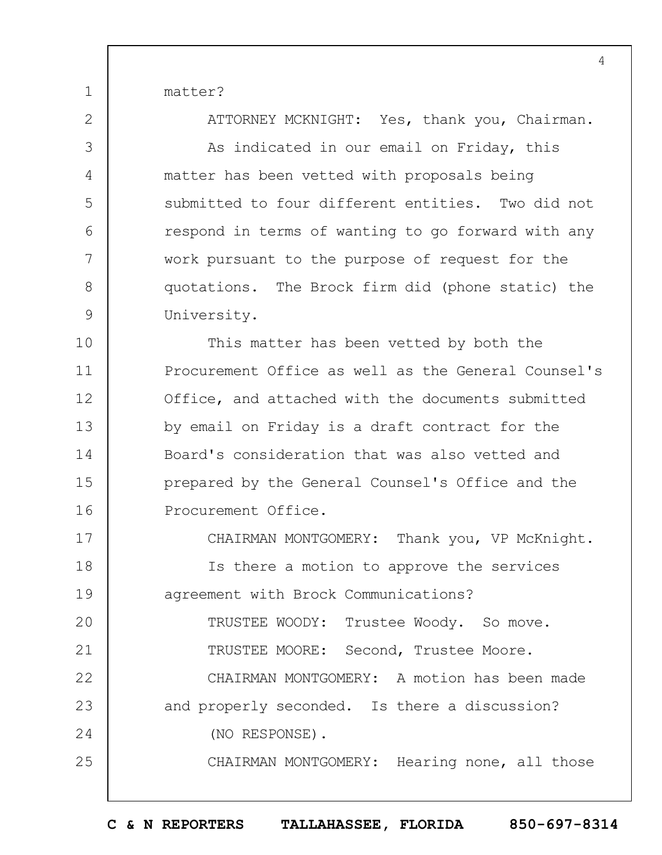matter?

1

2

3

4

5

6

7

8

9

ATTORNEY MCKNIGHT: Yes, thank you, Chairman.

As indicated in our email on Friday, this matter has been vetted with proposals being submitted to four different entities. Two did not respond in terms of wanting to go forward with any work pursuant to the purpose of request for the quotations. The Brock firm did (phone static) the University.

10 11 12 13 14 15 16 This matter has been vetted by both the Procurement Office as well as the General Counsel's Office, and attached with the documents submitted by email on Friday is a draft contract for the Board's consideration that was also vetted and prepared by the General Counsel's Office and the Procurement Office.

17 18 19  $20$ 21 22 23 24 25 CHAIRMAN MONTGOMERY: Thank you, VP McKnight. Is there a motion to approve the services agreement with Brock Communications? TRUSTEE WOODY: Trustee Woody. So move. TRUSTEE MOORE: Second, Trustee Moore. CHAIRMAN MONTGOMERY: A motion has been made and properly seconded. Is there a discussion? (NO RESPONSE). CHAIRMAN MONTGOMERY: Hearing none, all those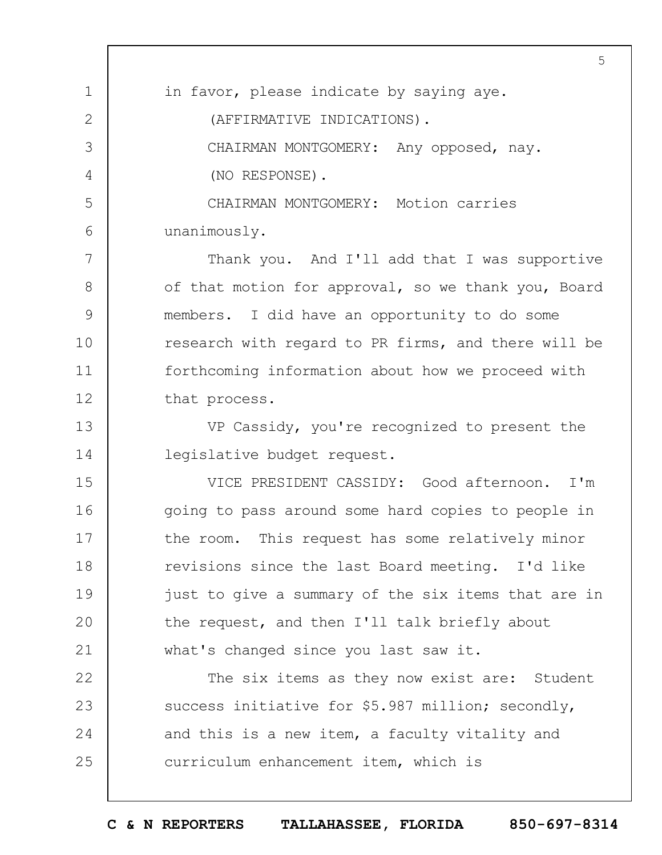1 2 3 4 5 6 7 8 9 10 11 12 13 14 15 16 17 18 19  $20$ 21 22 23 24 25 5 in favor, please indicate by saying aye. (AFFIRMATIVE INDICATIONS). CHAIRMAN MONTGOMERY: Any opposed, nay. (NO RESPONSE). CHAIRMAN MONTGOMERY: Motion carries unanimously. Thank you. And I'll add that I was supportive of that motion for approval, so we thank you, Board members. I did have an opportunity to do some research with regard to PR firms, and there will be forthcoming information about how we proceed with that process. VP Cassidy, you're recognized to present the legislative budget request. VICE PRESIDENT CASSIDY: Good afternoon. I'm going to pass around some hard copies to people in the room. This request has some relatively minor revisions since the last Board meeting. I'd like just to give a summary of the six items that are in the request, and then I'll talk briefly about what's changed since you last saw it. The six items as they now exist are: Student success initiative for \$5.987 million; secondly, and this is a new item, a faculty vitality and curriculum enhancement item, which is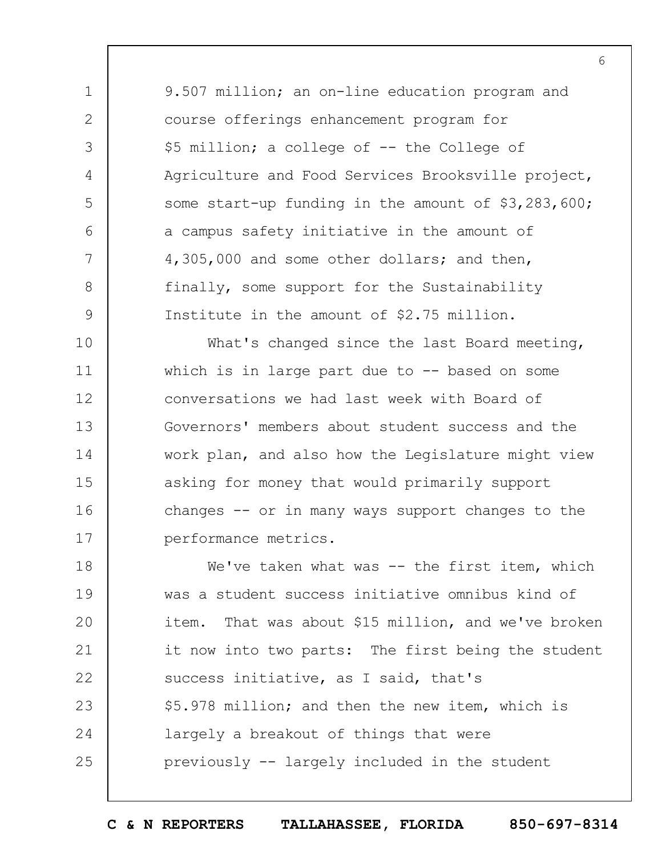1 2 3 4 5 6 7 8 9 9.507 million; an on-line education program and course offerings enhancement program for \$5 million; a college of -- the College of Agriculture and Food Services Brooksville project, some start-up funding in the amount of \$3,283,600; a campus safety initiative in the amount of 4,305,000 and some other dollars; and then, finally, some support for the Sustainability Institute in the amount of \$2.75 million.

6

10 11 12 13 14 15 16 17 What's changed since the last Board meeting, which is in large part due to  $-$ - based on some conversations we had last week with Board of Governors' members about student success and the work plan, and also how the Legislature might view asking for money that would primarily support changes -- or in many ways support changes to the performance metrics.

18 19  $20$ 21 22 23 24 25 We've taken what was -- the first item, which was a student success initiative omnibus kind of item. That was about \$15 million, and we've broken it now into two parts: The first being the student success initiative, as I said, that's \$5.978 million; and then the new item, which is largely a breakout of things that were previously -- largely included in the student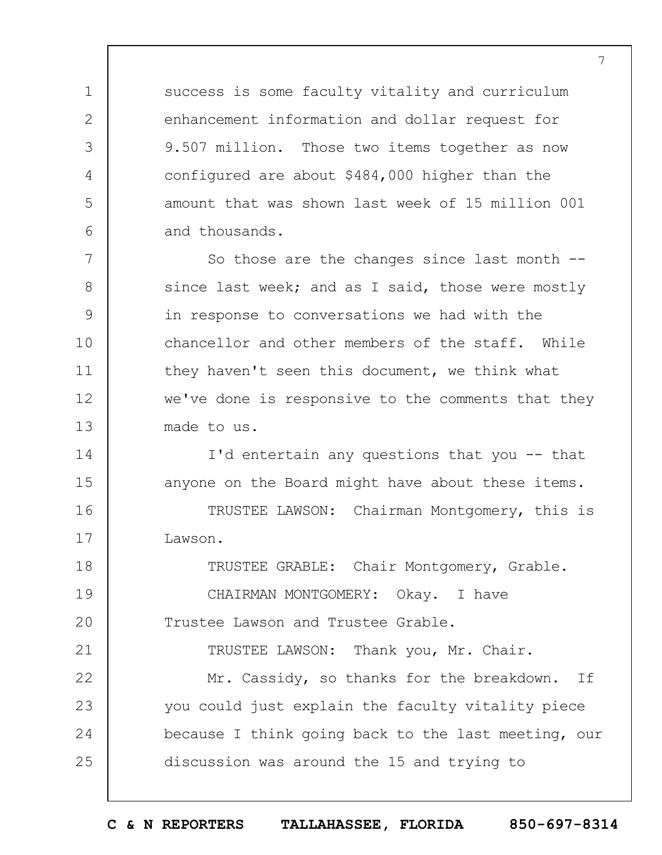success is some faculty vitality and curriculum enhancement information and dollar request for 9.507 million. Those two items together as now configured are about \$484,000 higher than the amount that was shown last week of 15 million 001 and thousands.

1

2

3

4

5

6

14

15

21

7 8 9 10 11 12 13 So those are the changes since last month - since last week; and as I said, those were mostly in response to conversations we had with the chancellor and other members of the staff. While they haven't seen this document, we think what we've done is responsive to the comments that they made to us.

> I'd entertain any questions that you -- that anyone on the Board might have about these items.

16 17 TRUSTEE LAWSON: Chairman Montgomery, this is Lawson.

18 19  $20$ TRUSTEE GRABLE: Chair Montgomery, Grable. CHAIRMAN MONTGOMERY: Okay. I have Trustee Lawson and Trustee Grable.

TRUSTEE LAWSON: Thank you, Mr. Chair.

22 23 24 25 Mr. Cassidy, so thanks for the breakdown. If you could just explain the faculty vitality piece because I think going back to the last meeting, our discussion was around the 15 and trying to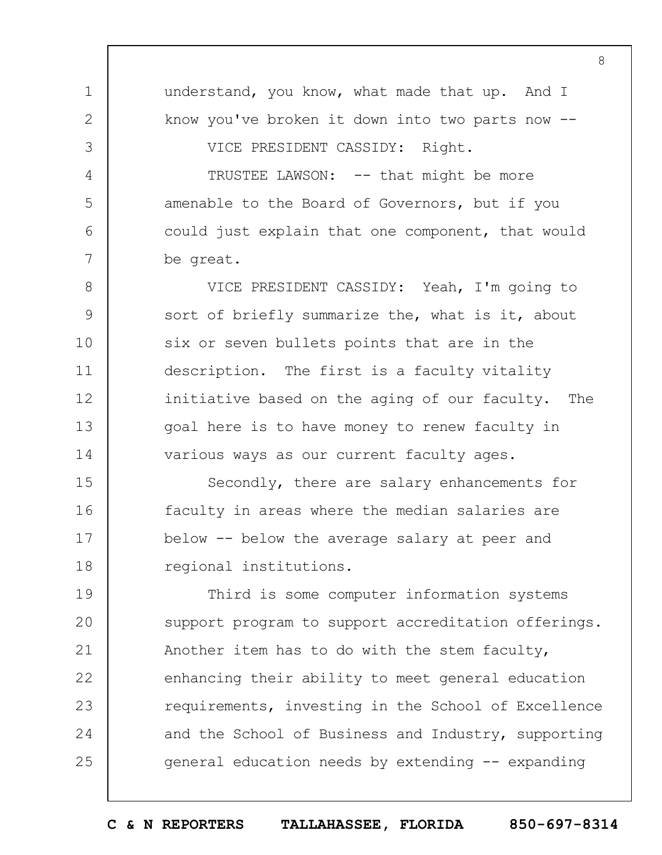1 2 3 4 5 6 7 8 9 10 11 12 13 14 15 16 17 18 19  $20$ 21 22 23 24 25 understand, you know, what made that up. And I know you've broken it down into two parts now -- VICE PRESIDENT CASSIDY: Right. TRUSTEE LAWSON: -- that might be more amenable to the Board of Governors, but if you could just explain that one component, that would be great. VICE PRESIDENT CASSIDY: Yeah, I'm going to sort of briefly summarize the, what is it, about six or seven bullets points that are in the description. The first is a faculty vitality initiative based on the aging of our faculty. The goal here is to have money to renew faculty in various ways as our current faculty ages. Secondly, there are salary enhancements for faculty in areas where the median salaries are below -- below the average salary at peer and regional institutions. Third is some computer information systems support program to support accreditation offerings. Another item has to do with the stem faculty, enhancing their ability to meet general education requirements, investing in the School of Excellence and the School of Business and Industry, supporting general education needs by extending -- expanding

8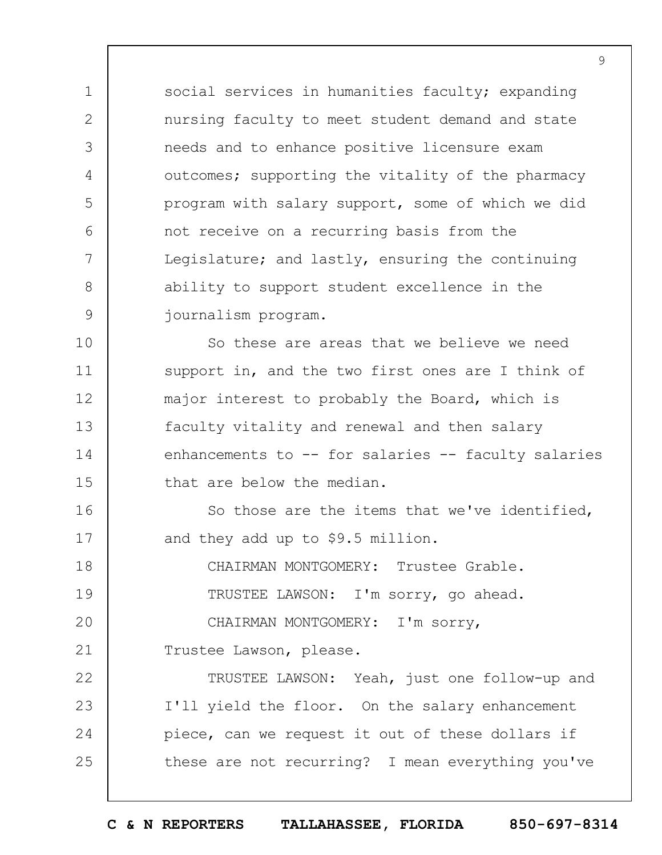social services in humanities faculty; expanding nursing faculty to meet student demand and state needs and to enhance positive licensure exam outcomes; supporting the vitality of the pharmacy program with salary support, some of which we did not receive on a recurring basis from the Legislature; and lastly, ensuring the continuing ability to support student excellence in the journalism program.

10 11 12 13 14 15 So these are areas that we believe we need support in, and the two first ones are I think of major interest to probably the Board, which is faculty vitality and renewal and then salary enhancements to -- for salaries -- faculty salaries that are below the median.

16 17 So those are the items that we've identified, and they add up to \$9.5 million.

18 19  $20$ CHAIRMAN MONTGOMERY: Trustee Grable. TRUSTEE LAWSON: I'm sorry, go ahead. CHAIRMAN MONTGOMERY: I'm sorry,

21 Trustee Lawson, please.

1

2

3

4

5

6

7

8

9

22 23 24 25 TRUSTEE LAWSON: Yeah, just one follow-up and I'll yield the floor. On the salary enhancement piece, can we request it out of these dollars if these are not recurring? I mean everything you've

**C & N REPORTERS TALLAHASSEE, FLORIDA 850-697-8314**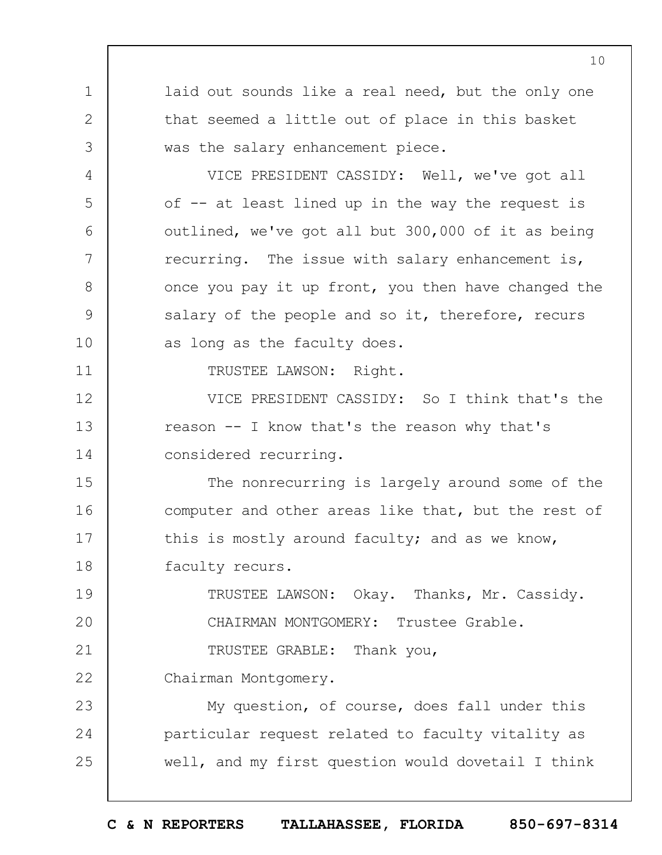1 2 3 4 5 6 7 8 9 10 11 12 13 14 15 16 17 18 19  $20$ 21 22 23 24 25 laid out sounds like a real need, but the only one that seemed a little out of place in this basket was the salary enhancement piece. VICE PRESIDENT CASSIDY: Well, we've got all of -- at least lined up in the way the request is outlined, we've got all but 300,000 of it as being recurring. The issue with salary enhancement is, once you pay it up front, you then have changed the salary of the people and so it, therefore, recurs as long as the faculty does. TRUSTEE LAWSON: Right. VICE PRESIDENT CASSIDY: So I think that's the reason -- I know that's the reason why that's considered recurring. The nonrecurring is largely around some of the computer and other areas like that, but the rest of this is mostly around faculty; and as we know, faculty recurs. TRUSTEE LAWSON: Okay. Thanks, Mr. Cassidy. CHAIRMAN MONTGOMERY: Trustee Grable. TRUSTEE GRABLE: Thank you, Chairman Montgomery. My question, of course, does fall under this particular request related to faculty vitality as well, and my first question would dovetail I think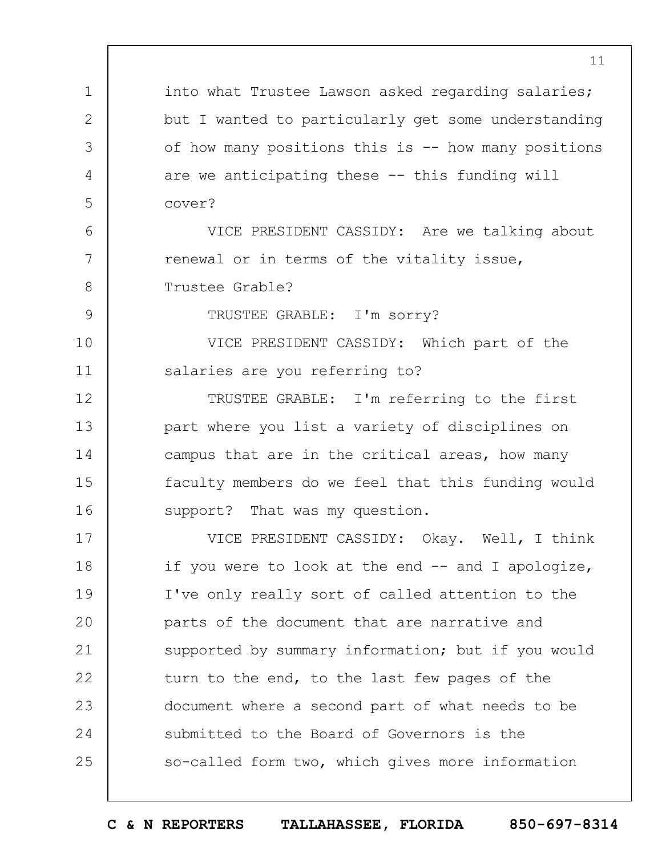1 2 3 4 5 6 7 8 9 10 11 12 13 14 15 16 17 18 19  $20$ 21 22 23 24 25 into what Trustee Lawson asked regarding salaries; but I wanted to particularly get some understanding of how many positions this is -- how many positions are we anticipating these -- this funding will cover? VICE PRESIDENT CASSIDY: Are we talking about renewal or in terms of the vitality issue, Trustee Grable? TRUSTEE GRABLE: I'm sorry? VICE PRESIDENT CASSIDY: Which part of the salaries are you referring to? TRUSTEE GRABLE: I'm referring to the first part where you list a variety of disciplines on campus that are in the critical areas, how many faculty members do we feel that this funding would support? That was my question. VICE PRESIDENT CASSIDY: Okay. Well, I think if you were to look at the end -- and I apologize, I've only really sort of called attention to the parts of the document that are narrative and supported by summary information; but if you would turn to the end, to the last few pages of the document where a second part of what needs to be submitted to the Board of Governors is the so-called form two, which gives more information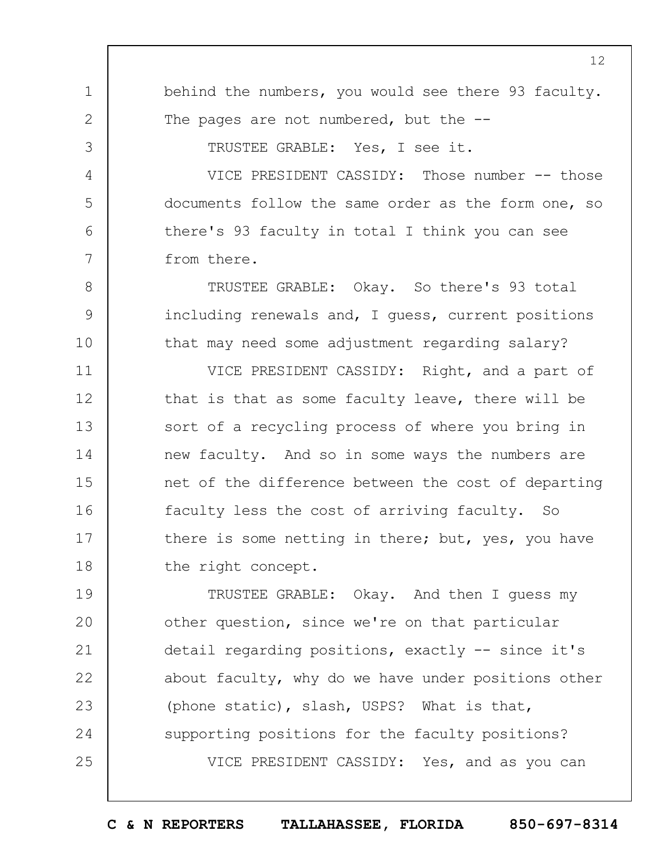1 2 3 4 5 6 7 8 9 10 11 12 13 14 15 16 17 18 19  $20$ 21 22 23 24 behind the numbers, you would see there 93 faculty. The pages are not numbered, but the --TRUSTEE GRABLE: Yes, I see it. VICE PRESIDENT CASSIDY: Those number -- those documents follow the same order as the form one, so there's 93 faculty in total I think you can see from there. TRUSTEE GRABLE: Okay. So there's 93 total including renewals and, I guess, current positions that may need some adjustment regarding salary? VICE PRESIDENT CASSIDY: Right, and a part of that is that as some faculty leave, there will be sort of a recycling process of where you bring in new faculty. And so in some ways the numbers are net of the difference between the cost of departing faculty less the cost of arriving faculty. So there is some netting in there; but, yes, you have the right concept. TRUSTEE GRABLE: Okay. And then I guess my other question, since we're on that particular detail regarding positions, exactly -- since it's about faculty, why do we have under positions other (phone static), slash, USPS? What is that, supporting positions for the faculty positions?

VICE PRESIDENT CASSIDY: Yes, and as you can

12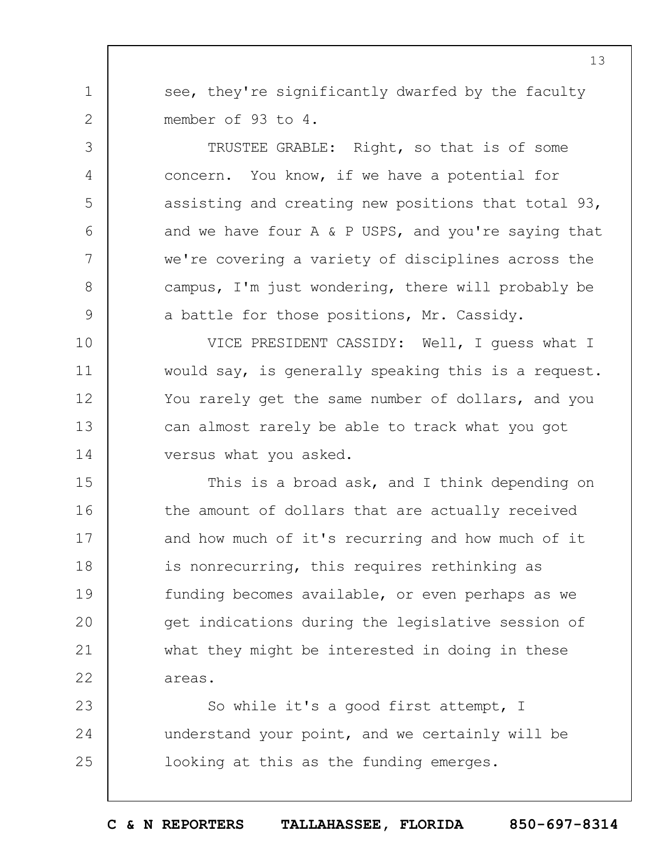see, they're significantly dwarfed by the faculty member of 93 to 4.

1

2

3

4

5

6

7

8

9

TRUSTEE GRABLE: Right, so that is of some concern. You know, if we have a potential for assisting and creating new positions that total 93, and we have four A & P USPS, and you're saying that we're covering a variety of disciplines across the campus, I'm just wondering, there will probably be a battle for those positions, Mr. Cassidy.

10 11 12 13 14 VICE PRESIDENT CASSIDY: Well, I guess what I would say, is generally speaking this is a request. You rarely get the same number of dollars, and you can almost rarely be able to track what you got versus what you asked.

15 16 17 18 19  $20$ 21 22 This is a broad ask, and I think depending on the amount of dollars that are actually received and how much of it's recurring and how much of it is nonrecurring, this requires rethinking as funding becomes available, or even perhaps as we get indications during the legislative session of what they might be interested in doing in these areas.

23 24 25 So while it's a good first attempt, I understand your point, and we certainly will be looking at this as the funding emerges.

13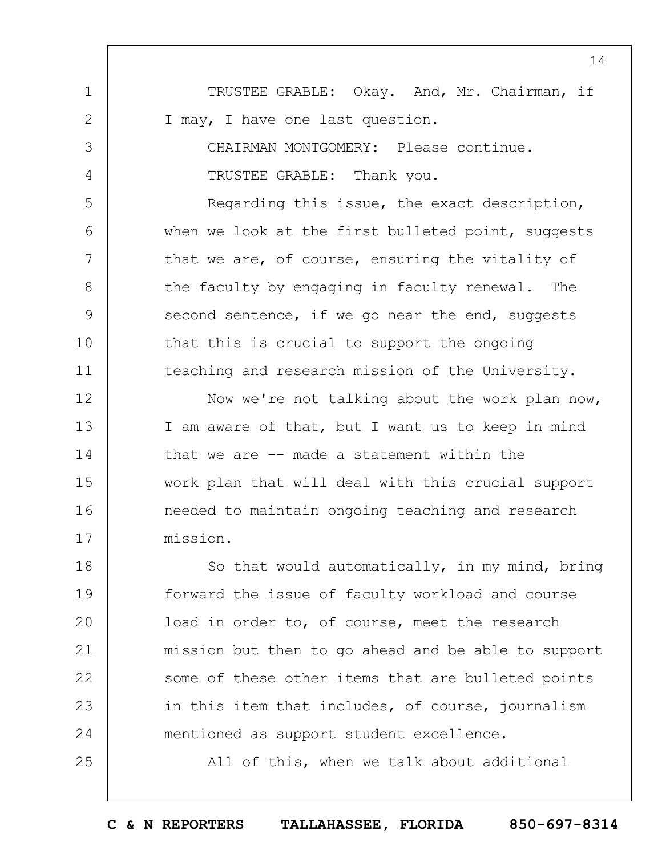1 2 3 4 5 6 7 8 9 10 11 12 13 14 15 16 17 18 19  $20$ 21 22 23 24 25 14 TRUSTEE GRABLE: Okay. And, Mr. Chairman, if I may, I have one last question. CHAIRMAN MONTGOMERY: Please continue. TRUSTEE GRABLE: Thank you. Regarding this issue, the exact description, when we look at the first bulleted point, suggests that we are, of course, ensuring the vitality of the faculty by engaging in faculty renewal. The second sentence, if we go near the end, suggests that this is crucial to support the ongoing teaching and research mission of the University. Now we're not talking about the work plan now, I am aware of that, but I want us to keep in mind that we are -- made a statement within the work plan that will deal with this crucial support needed to maintain ongoing teaching and research mission. So that would automatically, in my mind, bring forward the issue of faculty workload and course load in order to, of course, meet the research mission but then to go ahead and be able to support some of these other items that are bulleted points in this item that includes, of course, journalism mentioned as support student excellence. All of this, when we talk about additional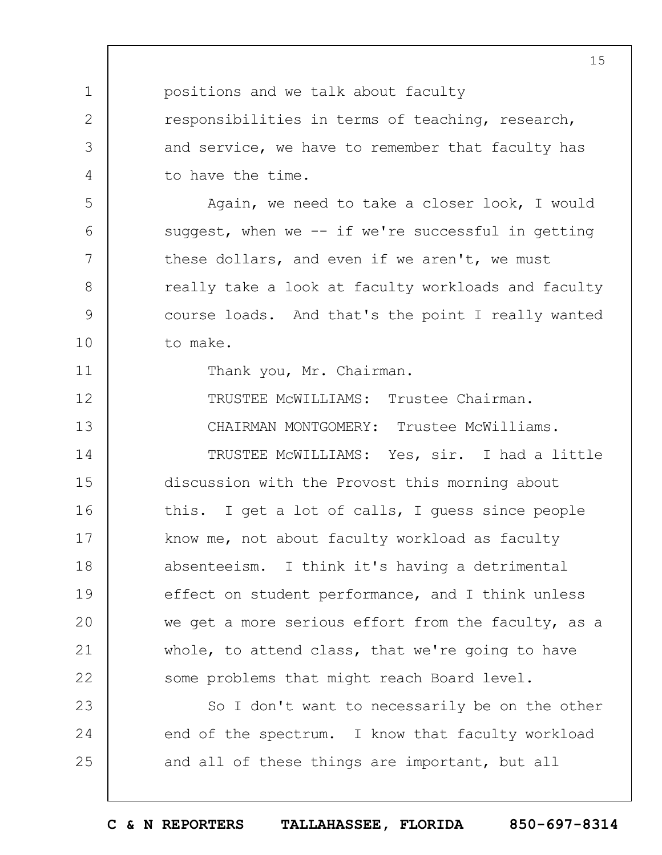1 2 3 4 5 6 7 8 9 10 11 12 13 14 15 16 17 18 19  $20$ 21 22 23 24 25 15 positions and we talk about faculty responsibilities in terms of teaching, research, and service, we have to remember that faculty has to have the time. Again, we need to take a closer look, I would suggest, when we  $--$  if we're successful in getting these dollars, and even if we aren't, we must really take a look at faculty workloads and faculty course loads. And that's the point I really wanted to make. Thank you, Mr. Chairman. TRUSTEE McWILLIAMS: Trustee Chairman. CHAIRMAN MONTGOMERY: Trustee McWilliams. TRUSTEE McWILLIAMS: Yes, sir. I had a little discussion with the Provost this morning about this. I get a lot of calls, I guess since people know me, not about faculty workload as faculty absenteeism. I think it's having a detrimental effect on student performance, and I think unless we get a more serious effort from the faculty, as a whole, to attend class, that we're going to have some problems that might reach Board level. So I don't want to necessarily be on the other end of the spectrum. I know that faculty workload and all of these things are important, but all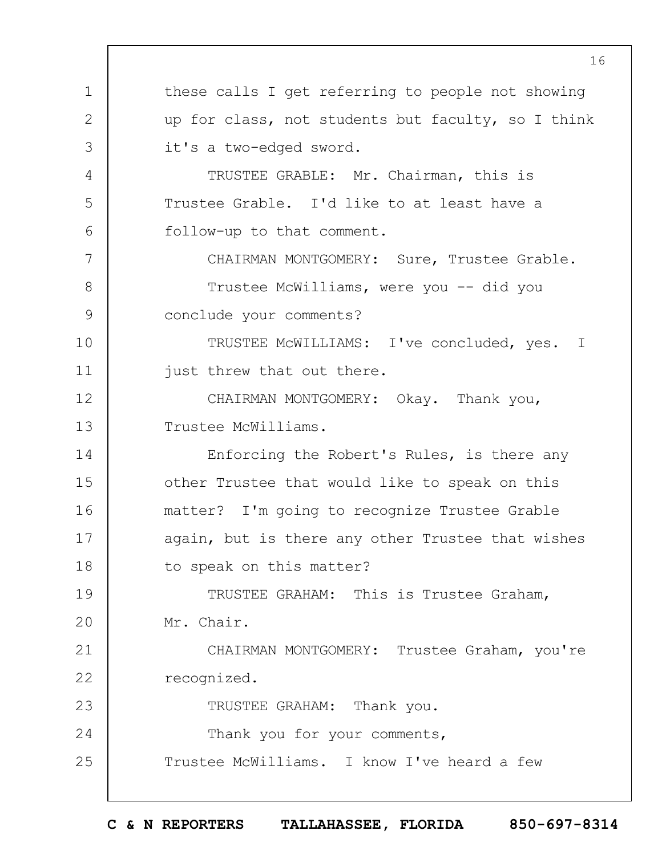1 2 3 4 5 6 7 8 9 10 11 12 13 14 15 16 17 18 19  $20$ 21 22 23 24 25 these calls I get referring to people not showing up for class, not students but faculty, so I think it's a two-edged sword. TRUSTEE GRABLE: Mr. Chairman, this is Trustee Grable. I'd like to at least have a follow-up to that comment. CHAIRMAN MONTGOMERY: Sure, Trustee Grable. Trustee McWilliams, were you -- did you conclude your comments? TRUSTEE McWILLIAMS: I've concluded, yes. I just threw that out there. CHAIRMAN MONTGOMERY: Okay. Thank you, Trustee McWilliams. Enforcing the Robert's Rules, is there any other Trustee that would like to speak on this matter? I'm going to recognize Trustee Grable again, but is there any other Trustee that wishes to speak on this matter? TRUSTEE GRAHAM: This is Trustee Graham, Mr. Chair. CHAIRMAN MONTGOMERY: Trustee Graham, you're recognized. TRUSTEE GRAHAM: Thank you. Thank you for your comments, Trustee McWilliams. I know I've heard a few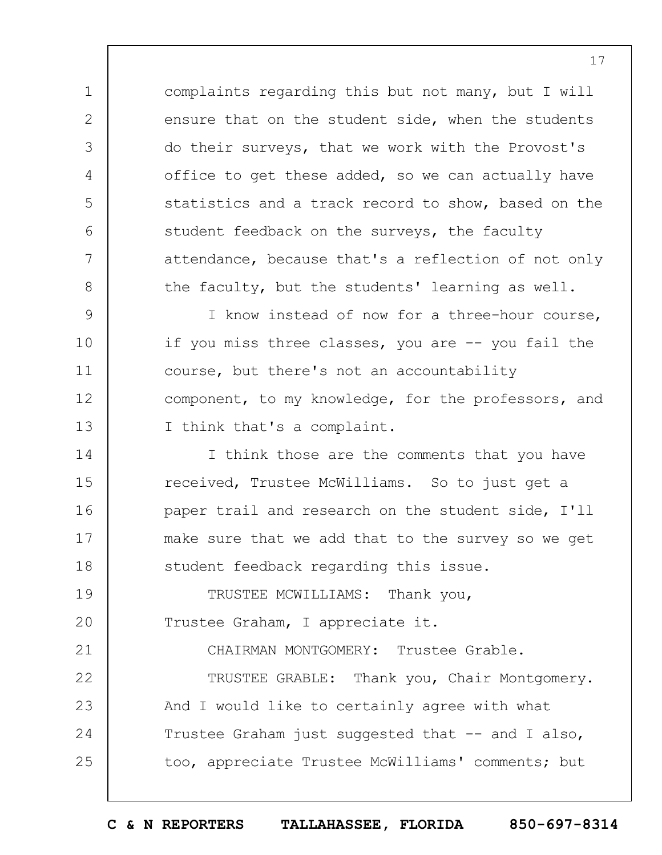complaints regarding this but not many, but I will ensure that on the student side, when the students do their surveys, that we work with the Provost's office to get these added, so we can actually have statistics and a track record to show, based on the student feedback on the surveys, the faculty attendance, because that's a reflection of not only the faculty, but the students' learning as well.

1

2

3

4

5

6

7

8

21

9 10 11 12 13 I know instead of now for a three-hour course, if you miss three classes, you are -- you fail the course, but there's not an accountability component, to my knowledge, for the professors, and I think that's a complaint.

14 15 16 17 18 I think those are the comments that you have received, Trustee McWilliams. So to just get a paper trail and research on the student side, I'll make sure that we add that to the survey so we get student feedback regarding this issue.

19  $20$ TRUSTEE MCWILLIAMS: Thank you, Trustee Graham, I appreciate it.

CHAIRMAN MONTGOMERY: Trustee Grable.

22 23 24 25 TRUSTEE GRABLE: Thank you, Chair Montgomery. And I would like to certainly agree with what Trustee Graham just suggested that -- and I also, too, appreciate Trustee McWilliams' comments; but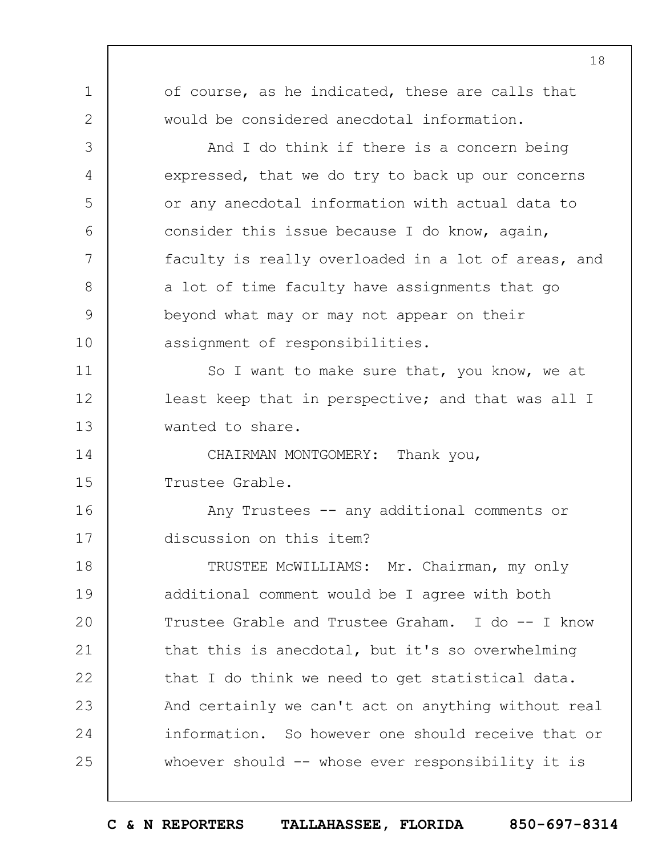| 1             | of course, as he indicated, these are calls that    |
|---------------|-----------------------------------------------------|
| $\mathbf{2}$  | would be considered anecdotal information.          |
| 3             | And I do think if there is a concern being          |
| 4             | expressed, that we do try to back up our concerns   |
| 5             | or any anecdotal information with actual data to    |
| 6             | consider this issue because I do know, again,       |
| 7             | faculty is really overloaded in a lot of areas, and |
| 8             | a lot of time faculty have assignments that go      |
| $\mathcal{G}$ | beyond what may or may not appear on their          |
| 10            | assignment of responsibilities.                     |
| 11            | So I want to make sure that, you know, we at        |
| 12            | least keep that in perspective; and that was all I  |
| 13            | wanted to share.                                    |
| 14            | CHAIRMAN MONTGOMERY: Thank you,                     |
| 15            | Trustee Grable.                                     |
| 16            | Any Trustees -- any additional comments or          |
| 17            | discussion on this item?                            |
| 18            | TRUSTEE MCWILLIAMS: Mr. Chairman, my only           |
| 19            | additional comment would be I agree with both       |
| 20            | Trustee Grable and Trustee Graham. I do -- I know   |
| 21            | that this is anecdotal, but it's so overwhelming    |
| 22            | that I do think we need to get statistical data.    |
| 23            | And certainly we can't act on anything without real |
| 24            | information. So however one should receive that or  |
| 25            | whoever should $--$ whose ever responsibility it is |
|               |                                                     |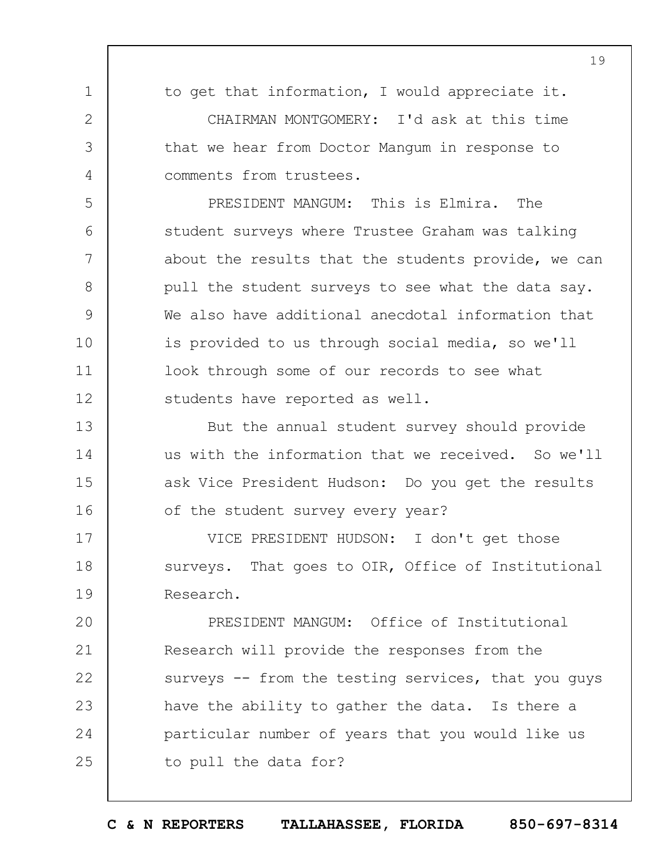1 2 3 4 5 6 7 8 9 10 11 12 13 14 15 16 17 18 19  $20$ 21 22 23 24 25 19 to get that information, I would appreciate it. CHAIRMAN MONTGOMERY: I'd ask at this time that we hear from Doctor Mangum in response to comments from trustees. PRESIDENT MANGUM: This is Elmira. The student surveys where Trustee Graham was talking about the results that the students provide, we can pull the student surveys to see what the data say. We also have additional anecdotal information that is provided to us through social media, so we'll look through some of our records to see what students have reported as well. But the annual student survey should provide us with the information that we received. So we'll ask Vice President Hudson: Do you get the results of the student survey every year? VICE PRESIDENT HUDSON: I don't get those surveys. That goes to OIR, Office of Institutional Research. PRESIDENT MANGUM: Office of Institutional Research will provide the responses from the surveys -- from the testing services, that you guys have the ability to gather the data. Is there a particular number of years that you would like us to pull the data for?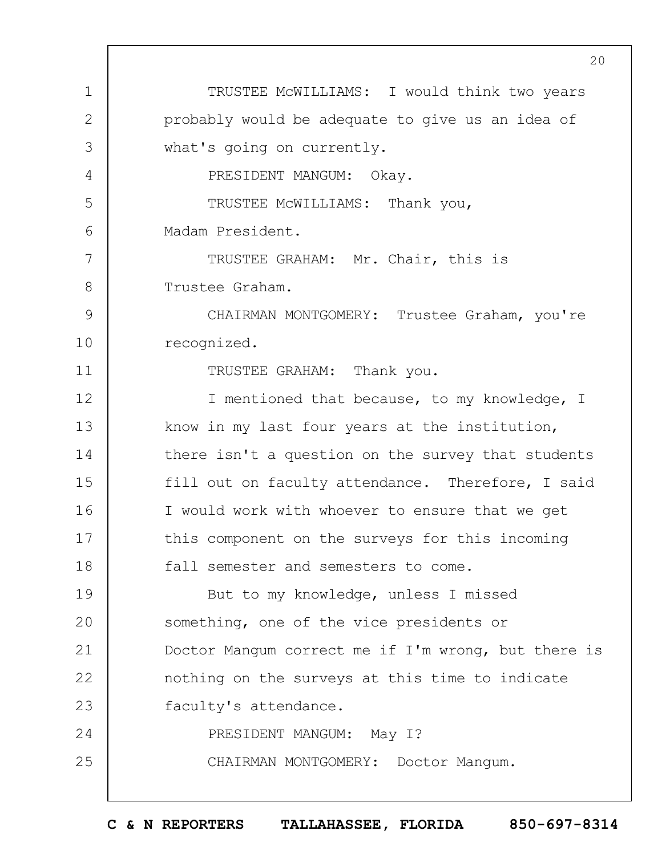1 2 3 4 5 6 7 8 9 10 11 12 13 14 15 16 17 18 19  $20$ 21 22 23 24 25 TRUSTEE McWILLIAMS: I would think two years probably would be adequate to give us an idea of what's going on currently. PRESIDENT MANGUM: Okay. TRUSTEE McWILLIAMS: Thank you, Madam President. TRUSTEE GRAHAM: Mr. Chair, this is Trustee Graham. CHAIRMAN MONTGOMERY: Trustee Graham, you're recognized. TRUSTEE GRAHAM: Thank you. I mentioned that because, to my knowledge, I know in my last four years at the institution, there isn't a question on the survey that students fill out on faculty attendance. Therefore, I said I would work with whoever to ensure that we get this component on the surveys for this incoming fall semester and semesters to come. But to my knowledge, unless I missed something, one of the vice presidents or Doctor Mangum correct me if I'm wrong, but there is nothing on the surveys at this time to indicate faculty's attendance. PRESIDENT MANGUM: May I? CHAIRMAN MONTGOMERY: Doctor Mangum.

**C & N REPORTERS TALLAHASSEE, FLORIDA 850-697-8314**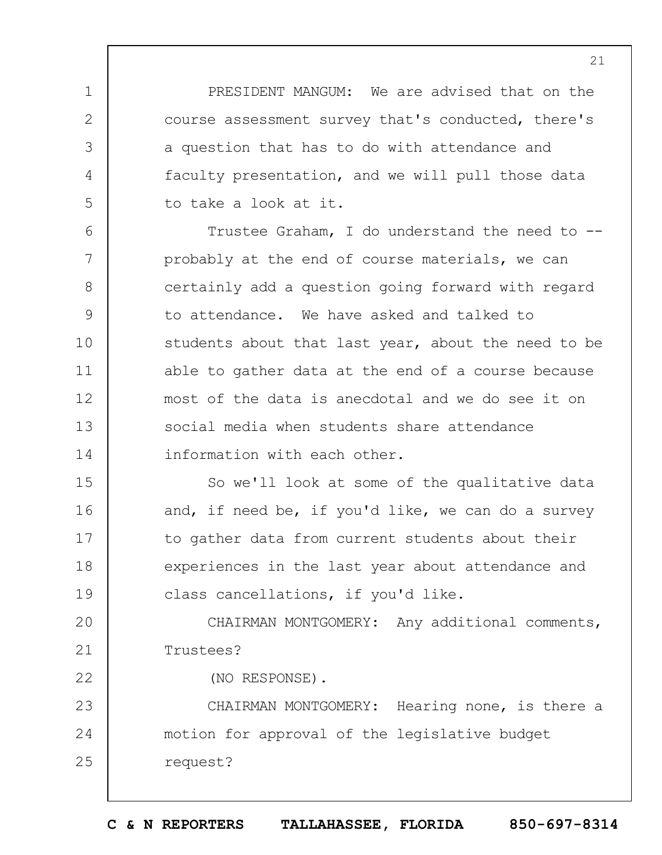PRESIDENT MANGUM: We are advised that on the course assessment survey that's conducted, there's a question that has to do with attendance and faculty presentation, and we will pull those data to take a look at it.

1

2

3

4

5

22

6 7 8 9 10 11 12 13 14 Trustee Graham, I do understand the need to - probably at the end of course materials, we can certainly add a question going forward with regard to attendance. We have asked and talked to students about that last year, about the need to be able to gather data at the end of a course because most of the data is anecdotal and we do see it on social media when students share attendance information with each other.

15 16 17 18 19 So we'll look at some of the qualitative data and, if need be, if you'd like, we can do a survey to gather data from current students about their experiences in the last year about attendance and class cancellations, if you'd like.

 $20$ 21 CHAIRMAN MONTGOMERY: Any additional comments, Trustees?

(NO RESPONSE).

23 24 25 CHAIRMAN MONTGOMERY: Hearing none, is there a motion for approval of the legislative budget request?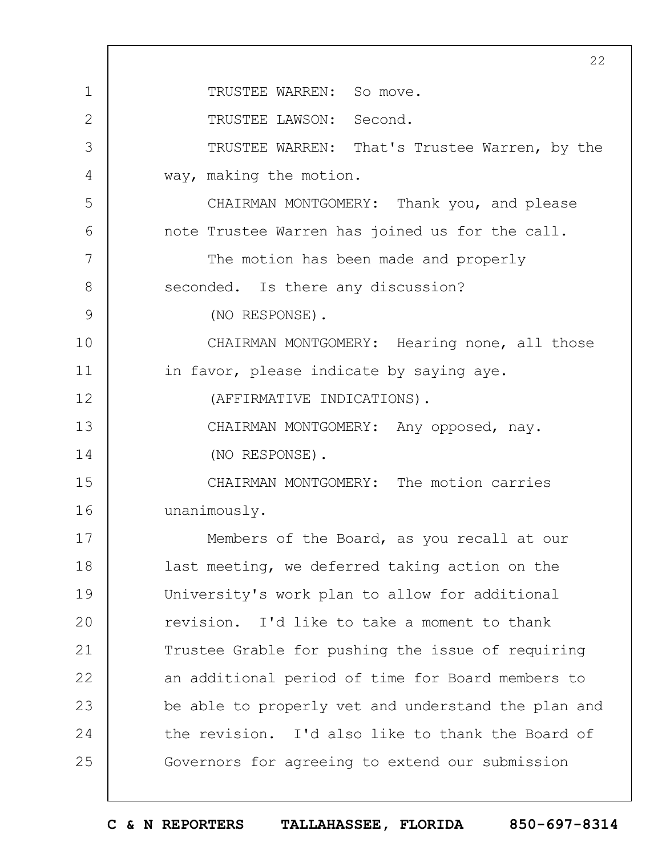|              | 22                                                  |
|--------------|-----------------------------------------------------|
| $\mathbf 1$  | TRUSTEE WARREN: So move.                            |
| $\mathbf{2}$ | TRUSTEE LAWSON: Second.                             |
| 3            | TRUSTEE WARREN: That's Trustee Warren, by the       |
| 4            | way, making the motion.                             |
| 5            | CHAIRMAN MONTGOMERY: Thank you, and please          |
| 6            | note Trustee Warren has joined us for the call.     |
| 7            | The motion has been made and properly               |
| 8            | seconded. Is there any discussion?                  |
| 9            | (NO RESPONSE).                                      |
| 10           | CHAIRMAN MONTGOMERY: Hearing none, all those        |
| 11           | in favor, please indicate by saying aye.            |
| 12           | (AFFIRMATIVE INDICATIONS).                          |
| 13           | CHAIRMAN MONTGOMERY: Any opposed, nay.              |
| 14           | (NO RESPONSE).                                      |
| 15           | CHAIRMAN MONTGOMERY: The motion carries             |
| 16           | unanimously.                                        |
| 17           | Members of the Board, as you recall at our          |
| 18           | last meeting, we deferred taking action on the      |
| 19           | University's work plan to allow for additional      |
| 20           | revision. I'd like to take a moment to thank        |
| 21           | Trustee Grable for pushing the issue of requiring   |
| 22           | an additional period of time for Board members to   |
| 23           | be able to properly vet and understand the plan and |
| 24           | the revision. I'd also like to thank the Board of   |
| 25           | Governors for agreeing to extend our submission     |
|              |                                                     |

 $\Gamma$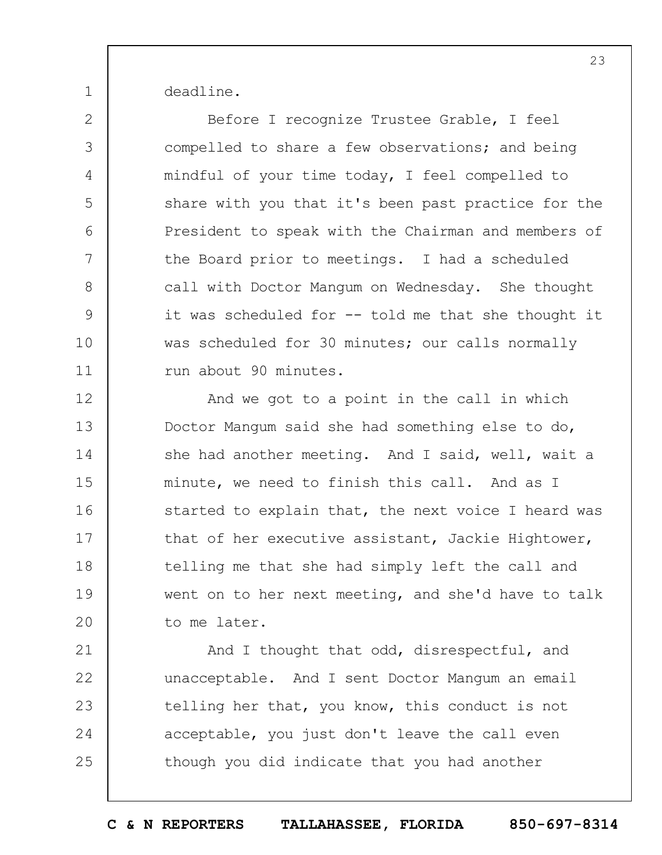deadline.

1

2

3

4

5

6

7

8

9

10

11

Before I recognize Trustee Grable, I feel compelled to share a few observations; and being mindful of your time today, I feel compelled to share with you that it's been past practice for the President to speak with the Chairman and members of the Board prior to meetings. I had a scheduled call with Doctor Mangum on Wednesday. She thought it was scheduled for -- told me that she thought it was scheduled for 30 minutes; our calls normally run about 90 minutes.

12 13 14 15 16 17 18 19  $20$ And we got to a point in the call in which Doctor Mangum said she had something else to do, she had another meeting. And I said, well, wait a minute, we need to finish this call. And as I started to explain that, the next voice I heard was that of her executive assistant, Jackie Hightower, telling me that she had simply left the call and went on to her next meeting, and she'd have to talk to me later.

21 22 23 24 25 And I thought that odd, disrespectful, and unacceptable. And I sent Doctor Mangum an email telling her that, you know, this conduct is not acceptable, you just don't leave the call even though you did indicate that you had another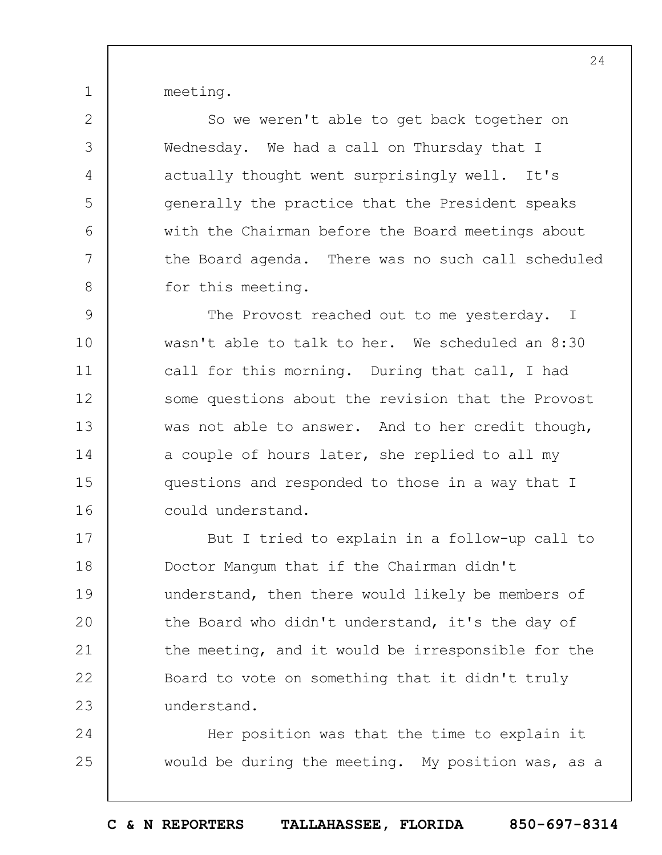meeting.

1

2

3

4

5

6

7

8

So we weren't able to get back together on Wednesday. We had a call on Thursday that I actually thought went surprisingly well. It's generally the practice that the President speaks with the Chairman before the Board meetings about the Board agenda. There was no such call scheduled for this meeting.

9 10 11 12 13 14 15 16 The Provost reached out to me yesterday. I wasn't able to talk to her. We scheduled an 8:30 call for this morning. During that call, I had some questions about the revision that the Provost was not able to answer. And to her credit though, a couple of hours later, she replied to all my questions and responded to those in a way that I could understand.

17 18 19  $20$ 21 22 23 But I tried to explain in a follow-up call to Doctor Mangum that if the Chairman didn't understand, then there would likely be members of the Board who didn't understand, it's the day of the meeting, and it would be irresponsible for the Board to vote on something that it didn't truly understand.

24 25 Her position was that the time to explain it would be during the meeting. My position was, as a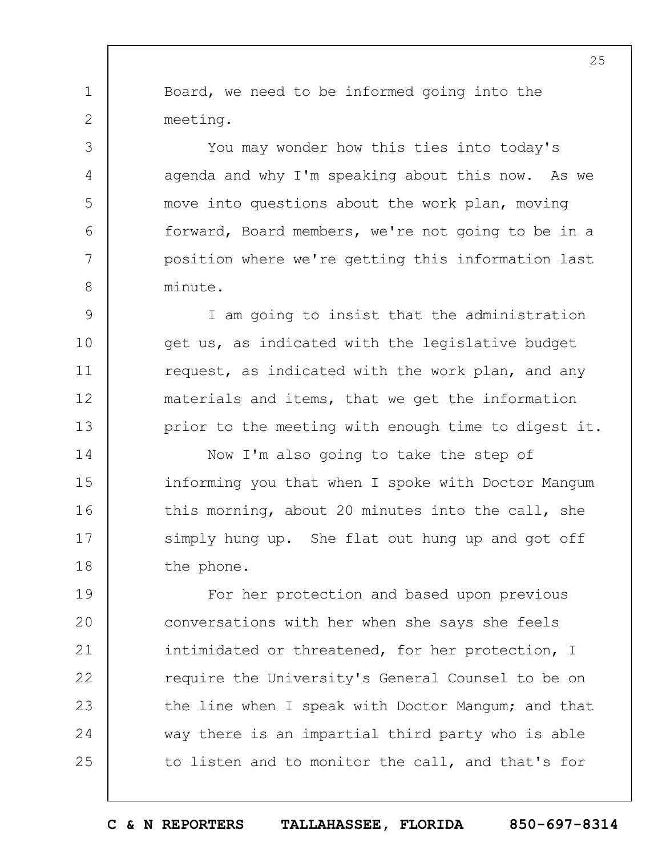Board, we need to be informed going into the meeting.

1

2

3

4

5

6

7

8

You may wonder how this ties into today's agenda and why I'm speaking about this now. As we move into questions about the work plan, moving forward, Board members, we're not going to be in a position where we're getting this information last minute.

9 10 11 12 13 I am going to insist that the administration get us, as indicated with the legislative budget request, as indicated with the work plan, and any materials and items, that we get the information prior to the meeting with enough time to digest it.

14 15 16 17 18 Now I'm also going to take the step of informing you that when I spoke with Doctor Mangum this morning, about 20 minutes into the call, she simply hung up. She flat out hung up and got off the phone.

19  $20$ 21 22 23 24 25 For her protection and based upon previous conversations with her when she says she feels intimidated or threatened, for her protection, I require the University's General Counsel to be on the line when I speak with Doctor Mangum; and that way there is an impartial third party who is able to listen and to monitor the call, and that's for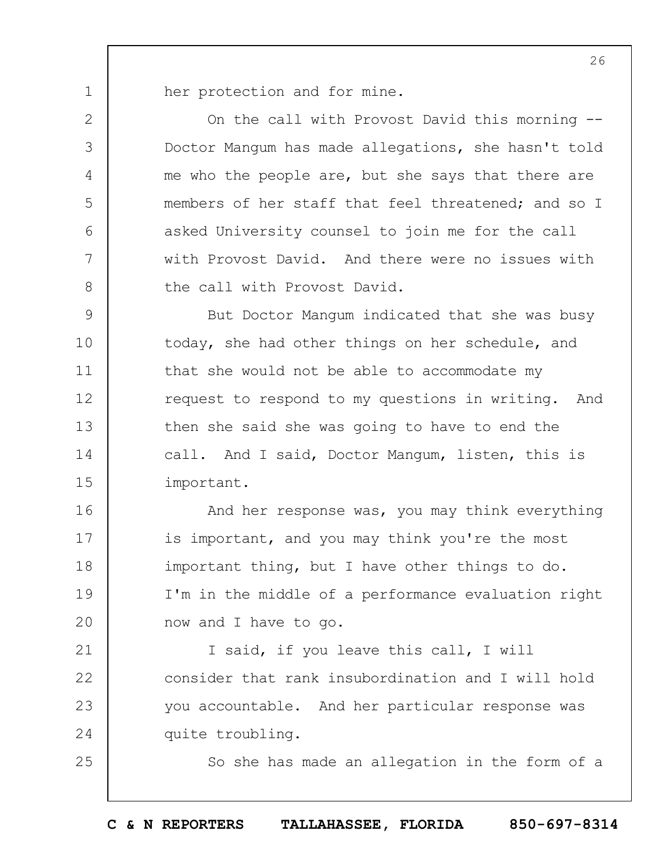her protection and for mine.

1

2

3

4

5

6

7

8

25

On the call with Provost David this morning -- Doctor Mangum has made allegations, she hasn't told me who the people are, but she says that there are members of her staff that feel threatened; and so I asked University counsel to join me for the call with Provost David. And there were no issues with the call with Provost David.

9 10 11 12 13 14 15 But Doctor Mangum indicated that she was busy today, she had other things on her schedule, and that she would not be able to accommodate my request to respond to my questions in writing. And then she said she was going to have to end the call. And I said, Doctor Mangum, listen, this is important.

16 17 18 19  $20$ And her response was, you may think everything is important, and you may think you're the most important thing, but I have other things to do. I'm in the middle of a performance evaluation right now and I have to go.

21 22 23 24 I said, if you leave this call, I will consider that rank insubordination and I will hold you accountable. And her particular response was quite troubling.

So she has made an allegation in the form of a

**C & N REPORTERS TALLAHASSEE, FLORIDA 850-697-8314**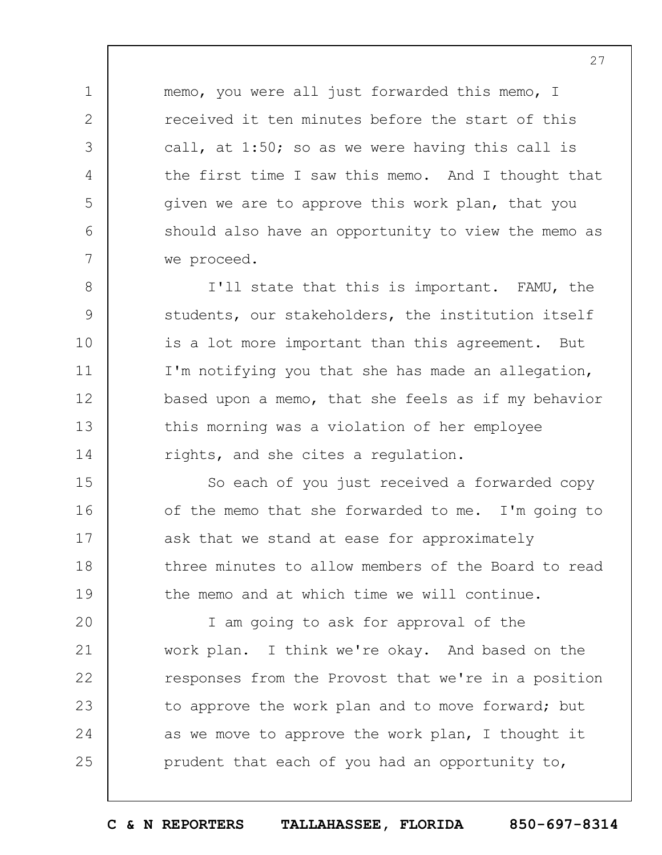memo, you were all just forwarded this memo, I received it ten minutes before the start of this call, at 1:50; so as we were having this call is the first time I saw this memo. And I thought that given we are to approve this work plan, that you should also have an opportunity to view the memo as we proceed.

1

2

3

4

5

6

7

8 9 10 11 12 13 14 I'll state that this is important. FAMU, the students, our stakeholders, the institution itself is a lot more important than this agreement. But I'm notifying you that she has made an allegation, based upon a memo, that she feels as if my behavior this morning was a violation of her employee rights, and she cites a regulation.

15 16 17 18 19 So each of you just received a forwarded copy of the memo that she forwarded to me. I'm going to ask that we stand at ease for approximately three minutes to allow members of the Board to read the memo and at which time we will continue.

 $20$ 21 22 23 24 25 I am going to ask for approval of the work plan. I think we're okay. And based on the responses from the Provost that we're in a position to approve the work plan and to move forward; but as we move to approve the work plan, I thought it prudent that each of you had an opportunity to,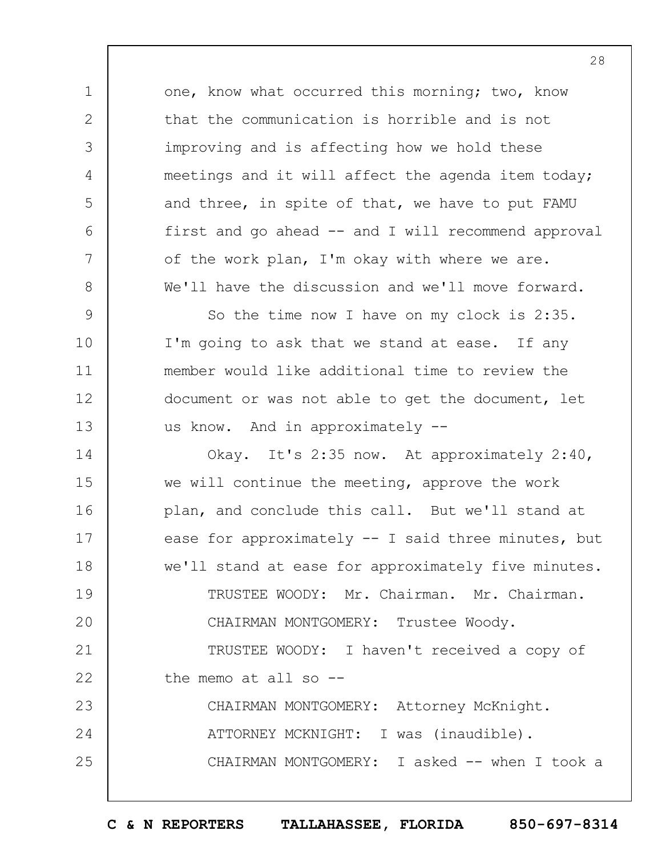one, know what occurred this morning; two, know that the communication is horrible and is not improving and is affecting how we hold these meetings and it will affect the agenda item today; and three, in spite of that, we have to put FAMU first and go ahead -- and I will recommend approval of the work plan, I'm okay with where we are. We'll have the discussion and we'll move forward.

1

2

3

4

5

6

7

8

9 10 11 12 13 So the time now I have on my clock is 2:35. I'm going to ask that we stand at ease. If any member would like additional time to review the document or was not able to get the document, let us know. And in approximately --

14 15 16 17 18 19  $20$ 21 22 23 24 25 Okay. It's 2:35 now. At approximately 2:40, we will continue the meeting, approve the work plan, and conclude this call. But we'll stand at ease for approximately -- I said three minutes, but we'll stand at ease for approximately five minutes. TRUSTEE WOODY: Mr. Chairman. Mr. Chairman. CHAIRMAN MONTGOMERY: Trustee Woody. TRUSTEE WOODY: I haven't received a copy of the memo at all so -- CHAIRMAN MONTGOMERY: Attorney McKnight. ATTORNEY MCKNIGHT: I was (inaudible). CHAIRMAN MONTGOMERY: I asked -- when I took a

**C & N REPORTERS TALLAHASSEE, FLORIDA 850-697-8314**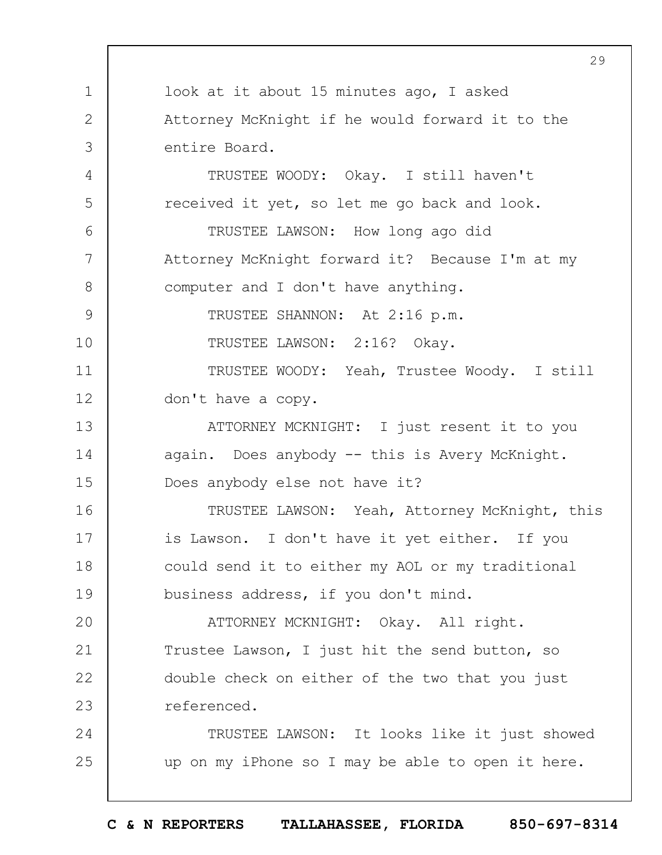1 2 3 4 5 6 7 8 9 10 11 12 13 14 15 16 17 18 19  $20$ 21 22 23 24 25 29 look at it about 15 minutes ago, I asked Attorney McKnight if he would forward it to the entire Board. TRUSTEE WOODY: Okay. I still haven't received it yet, so let me go back and look. TRUSTEE LAWSON: How long ago did Attorney McKnight forward it? Because I'm at my computer and I don't have anything. TRUSTEE SHANNON: At 2:16 p.m. TRUSTEE LAWSON: 2:16? Okay. TRUSTEE WOODY: Yeah, Trustee Woody. I still don't have a copy. ATTORNEY MCKNIGHT: I just resent it to you again. Does anybody -- this is Avery McKnight. Does anybody else not have it? TRUSTEE LAWSON: Yeah, Attorney McKnight, this is Lawson. I don't have it yet either. If you could send it to either my AOL or my traditional business address, if you don't mind. ATTORNEY MCKNIGHT: Okay. All right. Trustee Lawson, I just hit the send button, so double check on either of the two that you just referenced. TRUSTEE LAWSON: It looks like it just showed up on my iPhone so I may be able to open it here.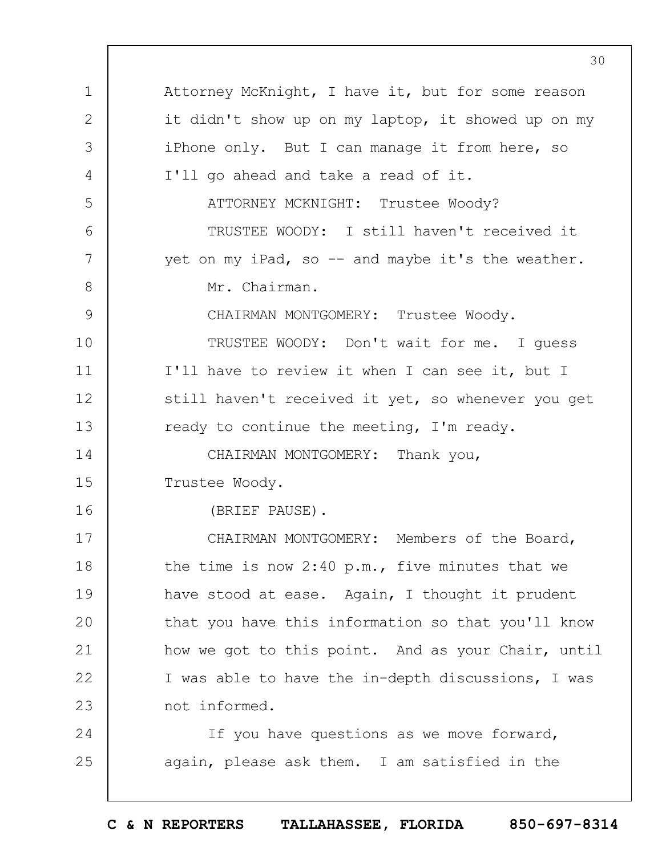1 2 3 4 5 6 7 8 9 10 11 12 13 14 15 16 17 18 19  $20$ 21 22 23 24 25 Attorney McKnight, I have it, but for some reason it didn't show up on my laptop, it showed up on my iPhone only. But I can manage it from here, so I'll go ahead and take a read of it. ATTORNEY MCKNIGHT: Trustee Woody? TRUSTEE WOODY: I still haven't received it yet on my iPad, so  $-$  and maybe it's the weather. Mr. Chairman. CHAIRMAN MONTGOMERY: Trustee Woody. TRUSTEE WOODY: Don't wait for me. I guess I'll have to review it when I can see it, but I still haven't received it yet, so whenever you get ready to continue the meeting, I'm ready. CHAIRMAN MONTGOMERY: Thank you, Trustee Woody. (BRIEF PAUSE). CHAIRMAN MONTGOMERY: Members of the Board, the time is now 2:40 p.m., five minutes that we have stood at ease. Again, I thought it prudent that you have this information so that you'll know how we got to this point. And as your Chair, until I was able to have the in-depth discussions, I was not informed. If you have questions as we move forward, again, please ask them. I am satisfied in the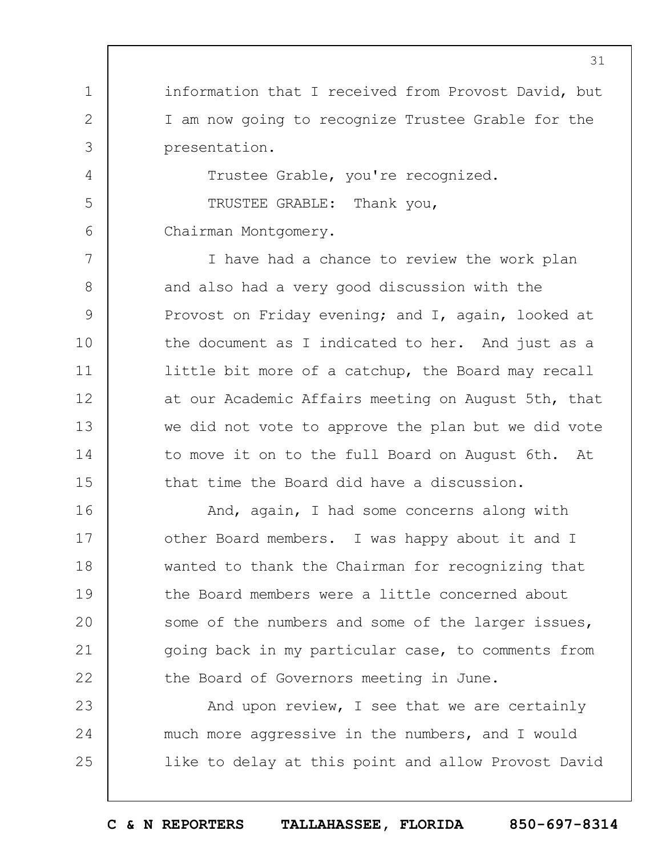information that I received from Provost David, but I am now going to recognize Trustee Grable for the presentation.

Trustee Grable, you're recognized.

TRUSTEE GRABLE: Thank you, Chairman Montgomery.

1

2

3

4

5

6

7 8 9 10 11 12 13 14 15 I have had a chance to review the work plan and also had a very good discussion with the Provost on Friday evening; and I, again, looked at the document as I indicated to her. And just as a little bit more of a catchup, the Board may recall at our Academic Affairs meeting on August 5th, that we did not vote to approve the plan but we did vote to move it on to the full Board on August 6th. At that time the Board did have a discussion.

16 17 18 19  $20$ 21 22 And, again, I had some concerns along with other Board members. I was happy about it and I wanted to thank the Chairman for recognizing that the Board members were a little concerned about some of the numbers and some of the larger issues, going back in my particular case, to comments from the Board of Governors meeting in June.

23 24 25 And upon review, I see that we are certainly much more aggressive in the numbers, and I would like to delay at this point and allow Provost David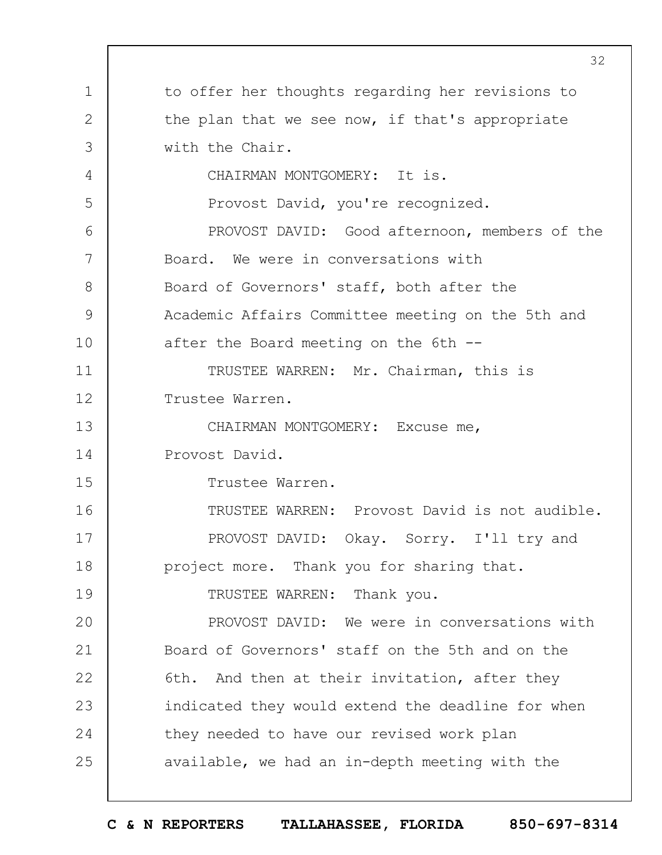|                | 32                                                |
|----------------|---------------------------------------------------|
| 1              | to offer her thoughts regarding her revisions to  |
| $\overline{2}$ | the plan that we see now, if that's appropriate   |
| 3              | with the Chair.                                   |
| 4              | CHAIRMAN MONTGOMERY: It is.                       |
| 5              | Provost David, you're recognized.                 |
| 6              | PROVOST DAVID: Good afternoon, members of the     |
| 7              | Board. We were in conversations with              |
| 8              | Board of Governors' staff, both after the         |
| 9              | Academic Affairs Committee meeting on the 5th and |
| 10             | after the Board meeting on the 6th --             |
| 11             | TRUSTEE WARREN: Mr. Chairman, this is             |
| 12             | Trustee Warren.                                   |
| 13             | CHAIRMAN MONTGOMERY: Excuse me,                   |
| 14             | Provost David.                                    |
| 15             | Trustee Warren.                                   |
| 16             | TRUSTEE WARREN: Provost David is not audible.     |
| 17             | PROVOST DAVID: Okay. Sorry. I'll try and          |
| 18             | project more. Thank you for sharing that.         |
| 19             | TRUSTEE WARREN: Thank you.                        |
| 20             | PROVOST DAVID: We were in conversations with      |
| 21             | Board of Governors' staff on the 5th and on the   |
| 22             | 6th. And then at their invitation, after they     |
| 23             | indicated they would extend the deadline for when |
| 24             | they needed to have our revised work plan         |
| 25             | available, we had an in-depth meeting with the    |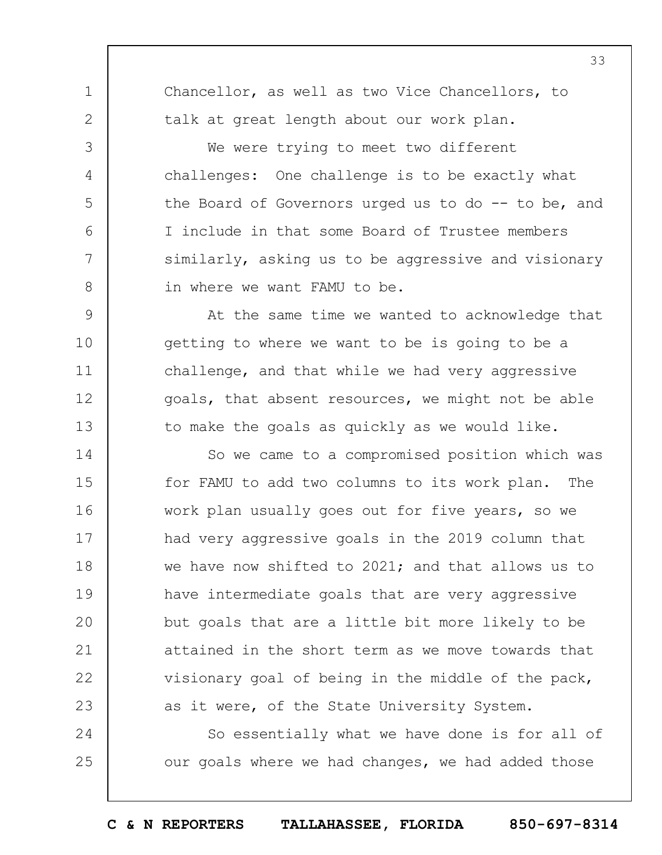**C & N REPORTERS TALLAHASSEE, FLORIDA 850-697-8314**

33

Chancellor, as well as two Vice Chancellors, to talk at great length about our work plan.

1

2

3

4

5

6

7

8

24

25

We were trying to meet two different challenges: One challenge is to be exactly what the Board of Governors urged us to do -- to be, and I include in that some Board of Trustee members similarly, asking us to be aggressive and visionary in where we want FAMU to be.

9 10 11 12 13 At the same time we wanted to acknowledge that getting to where we want to be is going to be a challenge, and that while we had very aggressive goals, that absent resources, we might not be able to make the goals as quickly as we would like.

14 15 16 17 18 19  $20$ 21 22 23 So we came to a compromised position which was for FAMU to add two columns to its work plan. The work plan usually goes out for five years, so we had very aggressive goals in the 2019 column that we have now shifted to  $2021$ ; and that allows us to have intermediate goals that are very aggressive but goals that are a little bit more likely to be attained in the short term as we move towards that visionary goal of being in the middle of the pack, as it were, of the State University System.

So essentially what we have done is for all of our goals where we had changes, we had added those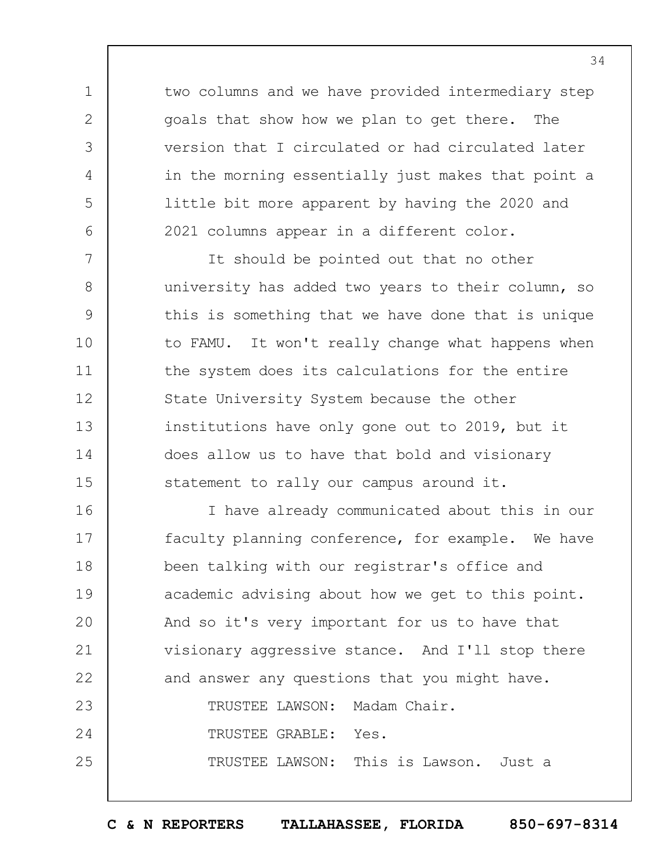two columns and we have provided intermediary step goals that show how we plan to get there. The version that I circulated or had circulated later in the morning essentially just makes that point a little bit more apparent by having the 2020 and 2021 columns appear in a different color.

1

2

3

4

5

6

7

8

9

10

11

12

13

14

15

It should be pointed out that no other university has added two years to their column, so this is something that we have done that is unique to FAMU. It won't really change what happens when the system does its calculations for the entire State University System because the other institutions have only gone out to 2019, but it does allow us to have that bold and visionary statement to rally our campus around it.

16 17 18 19  $20$ 21 22 23 24 25 I have already communicated about this in our faculty planning conference, for example. We have been talking with our registrar's office and academic advising about how we get to this point. And so it's very important for us to have that visionary aggressive stance. And I'll stop there and answer any questions that you might have. TRUSTEE LAWSON: Madam Chair. TRUSTEE GRABLE: Yes. TRUSTEE LAWSON: This is Lawson. Just a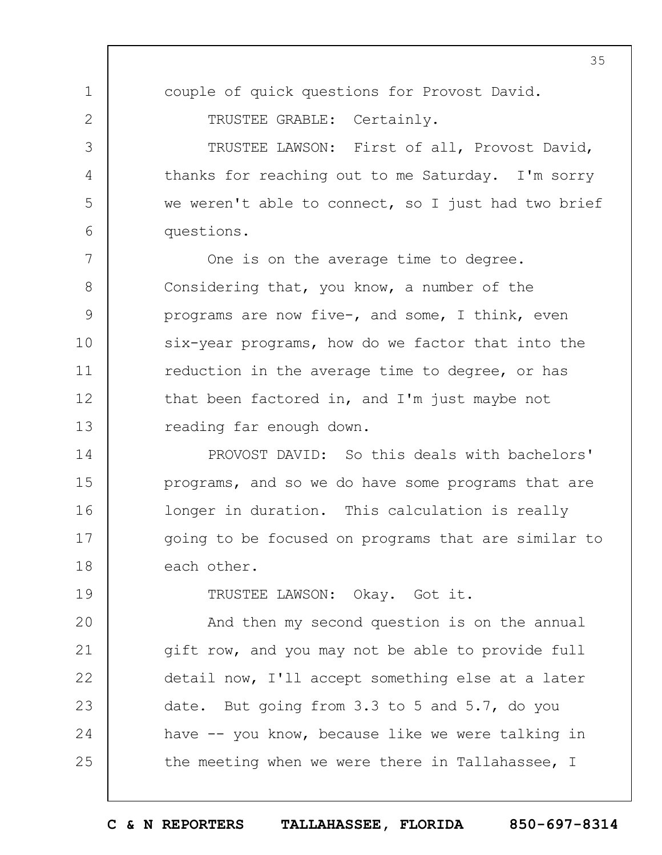35

couple of quick questions for Provost David.

TRUSTEE GRABLE: Certainly.

1

2

3

4

5

6

19

TRUSTEE LAWSON: First of all, Provost David, thanks for reaching out to me Saturday. I'm sorry we weren't able to connect, so I just had two brief questions.

7 8 9 10 11 12 13 One is on the average time to degree. Considering that, you know, a number of the programs are now five-, and some, I think, even six-year programs, how do we factor that into the reduction in the average time to degree, or has that been factored in, and I'm just maybe not reading far enough down.

14 15 16 17 18 PROVOST DAVID: So this deals with bachelors' programs, and so we do have some programs that are longer in duration. This calculation is really going to be focused on programs that are similar to each other.

TRUSTEE LAWSON: Okay. Got it.

 $20$ 21 22 23 24 25 And then my second question is on the annual gift row, and you may not be able to provide full detail now, I'll accept something else at a later date. But going from 3.3 to 5 and 5.7, do you have -- you know, because like we were talking in the meeting when we were there in Tallahassee, I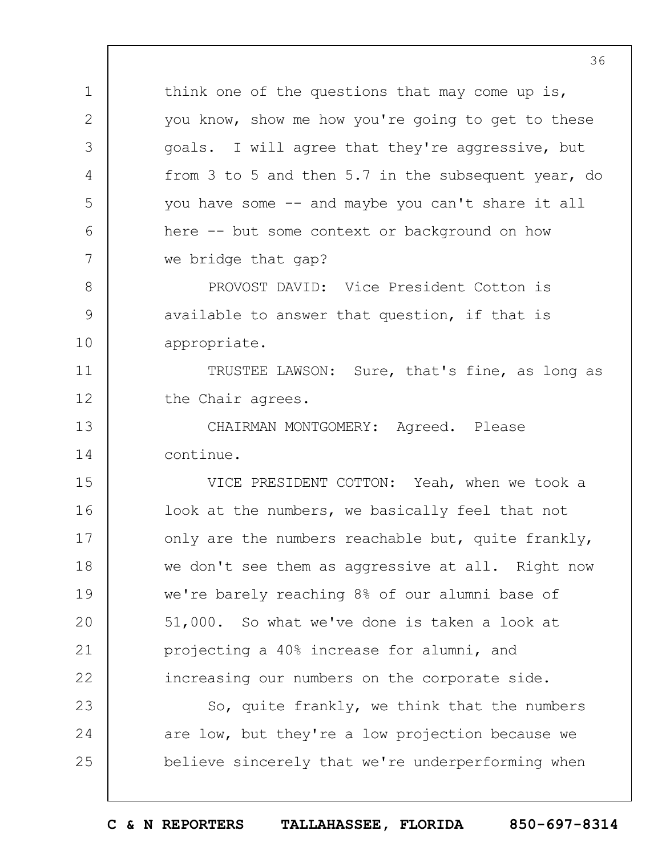think one of the questions that may come up is, you know, show me how you're going to get to these goals. I will agree that they're aggressive, but from 3 to 5 and then 5.7 in the subsequent year, do you have some -- and maybe you can't share it all here -- but some context or background on how we bridge that gap?

PROVOST DAVID: Vice President Cotton is available to answer that question, if that is appropriate.

11 12 TRUSTEE LAWSON: Sure, that's fine, as long as the Chair agrees.

13 14 CHAIRMAN MONTGOMERY: Agreed. Please continue.

1

2

3

4

5

6

7

8

9

10

15 16 17 18 19  $20$ 21 22 VICE PRESIDENT COTTON: Yeah, when we took a look at the numbers, we basically feel that not only are the numbers reachable but, quite frankly, we don't see them as aggressive at all. Right now we're barely reaching 8% of our alumni base of 51,000. So what we've done is taken a look at projecting a 40% increase for alumni, and increasing our numbers on the corporate side.

23 24 25 So, quite frankly, we think that the numbers are low, but they're a low projection because we believe sincerely that we're underperforming when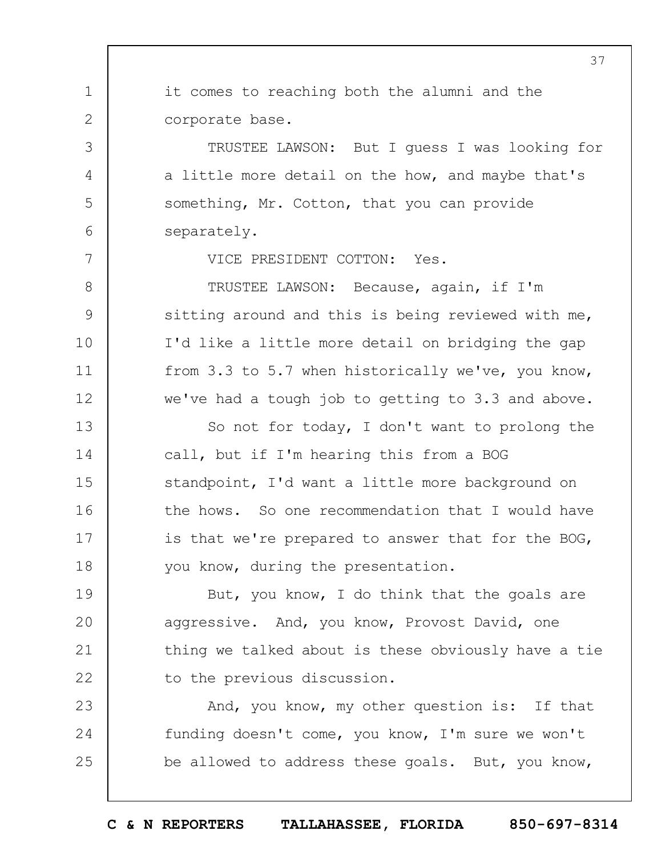1 2 3 4 5 6 7 8 9 10 11 12 13 14 15 16 17 18 19  $20$ 21 22 23 24 25 37 it comes to reaching both the alumni and the corporate base. TRUSTEE LAWSON: But I guess I was looking for a little more detail on the how, and maybe that's something, Mr. Cotton, that you can provide separately. VICE PRESIDENT COTTON: Yes. TRUSTEE LAWSON: Because, again, if I'm sitting around and this is being reviewed with me, I'd like a little more detail on bridging the gap from 3.3 to 5.7 when historically we've, you know, we've had a tough job to getting to 3.3 and above. So not for today, I don't want to prolong the call, but if I'm hearing this from a BOG standpoint, I'd want a little more background on the hows. So one recommendation that I would have is that we're prepared to answer that for the BOG, you know, during the presentation. But, you know, I do think that the goals are aggressive. And, you know, Provost David, one thing we talked about is these obviously have a tie to the previous discussion. And, you know, my other question is: If that funding doesn't come, you know, I'm sure we won't be allowed to address these goals. But, you know,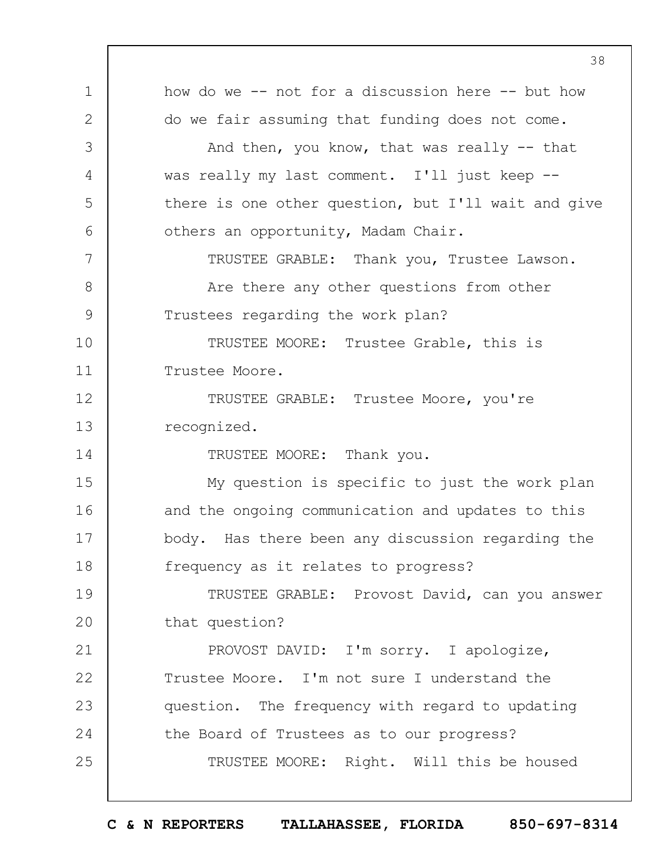1 2 3 4 5 6 7 8 9 10 11 12 13 14 15 16 17 18 19  $20$ 21 22 23 24 25 38 how do we -- not for a discussion here -- but how do we fair assuming that funding does not come. And then, you know, that was really  $-$ - that was really my last comment. I'll just keep - there is one other question, but I'll wait and give others an opportunity, Madam Chair. TRUSTEE GRABLE: Thank you, Trustee Lawson. Are there any other questions from other Trustees regarding the work plan? TRUSTEE MOORE: Trustee Grable, this is Trustee Moore. TRUSTEE GRABLE: Trustee Moore, you're recognized. TRUSTEE MOORE: Thank you. My question is specific to just the work plan and the ongoing communication and updates to this body. Has there been any discussion regarding the frequency as it relates to progress? TRUSTEE GRABLE: Provost David, can you answer that question? PROVOST DAVID: I'm sorry. I apologize, Trustee Moore. I'm not sure I understand the question. The frequency with regard to updating the Board of Trustees as to our progress? TRUSTEE MOORE: Right. Will this be housed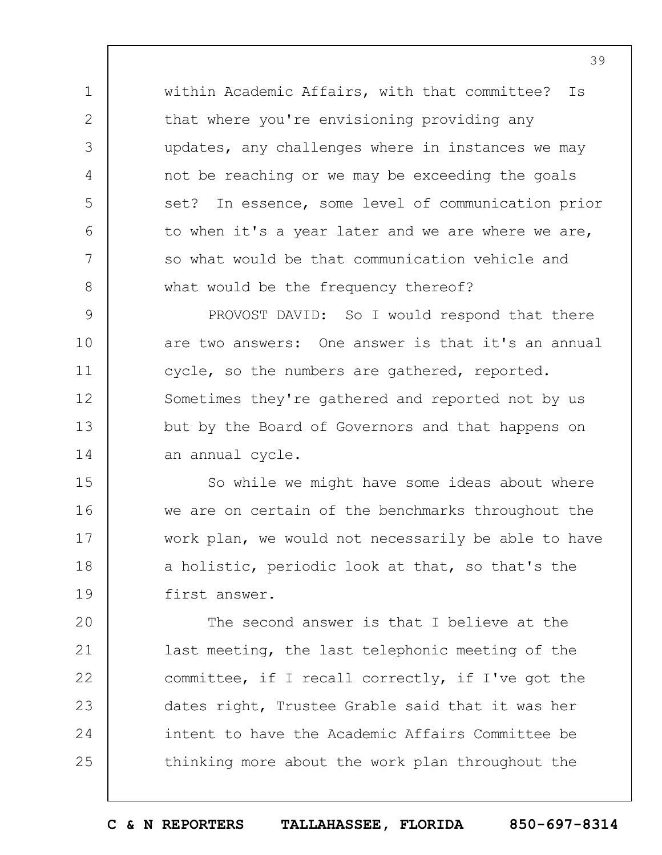within Academic Affairs, with that committee? Is that where you're envisioning providing any updates, any challenges where in instances we may not be reaching or we may be exceeding the goals set? In essence, some level of communication prior to when it's a year later and we are where we are, so what would be that communication vehicle and what would be the frequency thereof?

1

2

3

4

5

6

7

8

9 10 11 12 13 14 PROVOST DAVID: So I would respond that there are two answers: One answer is that it's an annual cycle, so the numbers are gathered, reported. Sometimes they're gathered and reported not by us but by the Board of Governors and that happens on an annual cycle.

15 16 17 18 19 So while we might have some ideas about where we are on certain of the benchmarks throughout the work plan, we would not necessarily be able to have a holistic, periodic look at that, so that's the first answer.

 $20$ 21 22 23 24 25 The second answer is that I believe at the last meeting, the last telephonic meeting of the committee, if I recall correctly, if I've got the dates right, Trustee Grable said that it was her intent to have the Academic Affairs Committee be thinking more about the work plan throughout the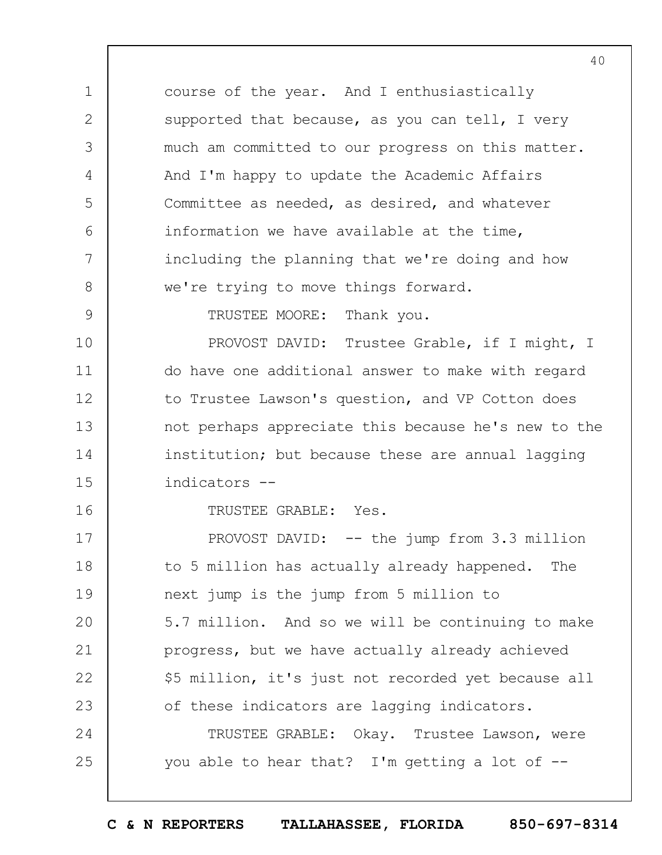course of the year. And I enthusiastically supported that because, as you can tell, I very much am committed to our progress on this matter. And I'm happy to update the Academic Affairs Committee as needed, as desired, and whatever information we have available at the time, including the planning that we're doing and how we're trying to move things forward.

TRUSTEE MOORE: Thank you.

1

2

3

4

5

6

7

8

9

16

10 11 12 13 14 15 PROVOST DAVID: Trustee Grable, if I might, I do have one additional answer to make with regard to Trustee Lawson's question, and VP Cotton does not perhaps appreciate this because he's new to the institution; but because these are annual lagging indicators --

TRUSTEE GRABLE: Yes.

17 18 19  $20$ 21 22 23 24 25 PROVOST DAVID: -- the jump from 3.3 million to 5 million has actually already happened. The next jump is the jump from 5 million to 5.7 million. And so we will be continuing to make progress, but we have actually already achieved \$5 million, it's just not recorded yet because all of these indicators are lagging indicators. TRUSTEE GRABLE: Okay. Trustee Lawson, were you able to hear that? I'm getting a lot of --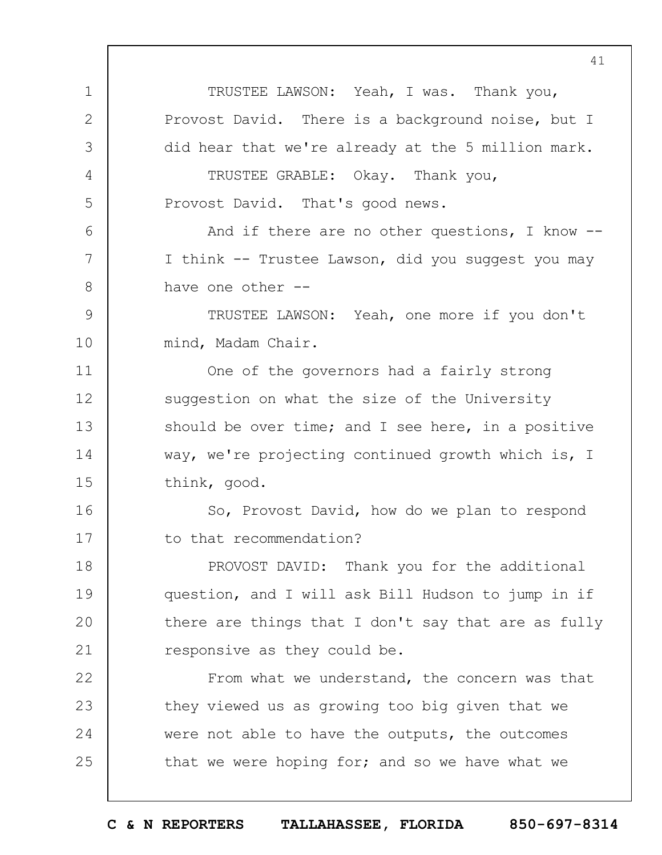1 2 3 4 5 6 7 8 9 10 11 12 13 14 15 16 17 18 19  $20$ 21 22 23 24 25 TRUSTEE LAWSON: Yeah, I was. Thank you, Provost David. There is a background noise, but I did hear that we're already at the 5 million mark. TRUSTEE GRABLE: Okay. Thank you, Provost David. That's good news. And if there are no other questions, I know -- I think -- Trustee Lawson, did you suggest you may have one other --TRUSTEE LAWSON: Yeah, one more if you don't mind, Madam Chair. One of the governors had a fairly strong suggestion on what the size of the University should be over time; and I see here, in a positive way, we're projecting continued growth which is, I think, good. So, Provost David, how do we plan to respond to that recommendation? PROVOST DAVID: Thank you for the additional question, and I will ask Bill Hudson to jump in if there are things that I don't say that are as fully responsive as they could be. From what we understand, the concern was that they viewed us as growing too big given that we were not able to have the outputs, the outcomes that we were hoping for; and so we have what we

41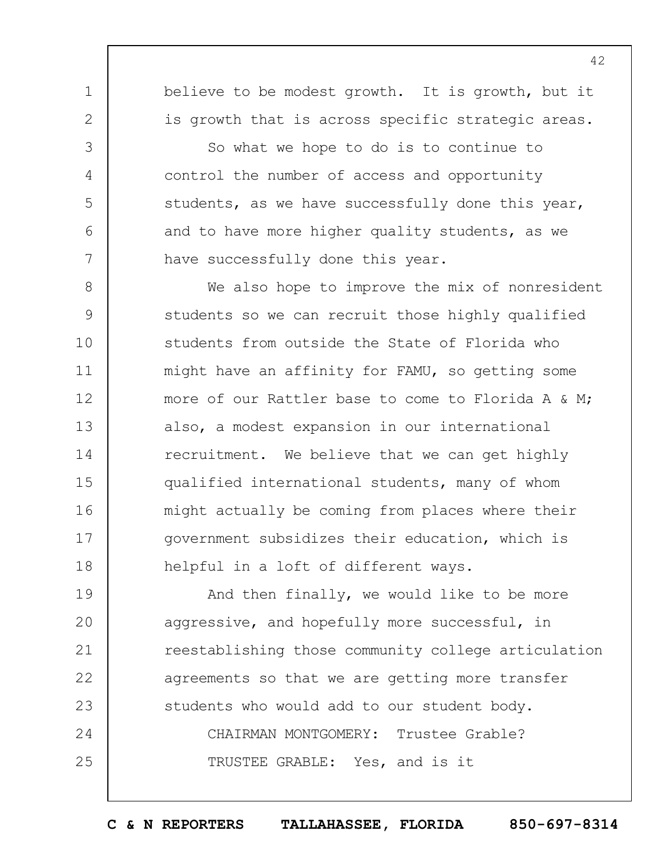believe to be modest growth. It is growth, but it is growth that is across specific strategic areas.

1

2

3

4

5

6

7

So what we hope to do is to continue to control the number of access and opportunity students, as we have successfully done this year, and to have more higher quality students, as we have successfully done this year.

8 9 10 11 12 13 14 15 16 17 18 We also hope to improve the mix of nonresident students so we can recruit those highly qualified students from outside the State of Florida who might have an affinity for FAMU, so getting some more of our Rattler base to come to Florida A & M; also, a modest expansion in our international recruitment. We believe that we can get highly qualified international students, many of whom might actually be coming from places where their government subsidizes their education, which is helpful in a loft of different ways.

19  $20$ 21 22 23 24 25 And then finally, we would like to be more aggressive, and hopefully more successful, in reestablishing those community college articulation agreements so that we are getting more transfer students who would add to our student body. CHAIRMAN MONTGOMERY: Trustee Grable? TRUSTEE GRABLE: Yes, and is it

**C & N REPORTERS TALLAHASSEE, FLORIDA 850-697-8314**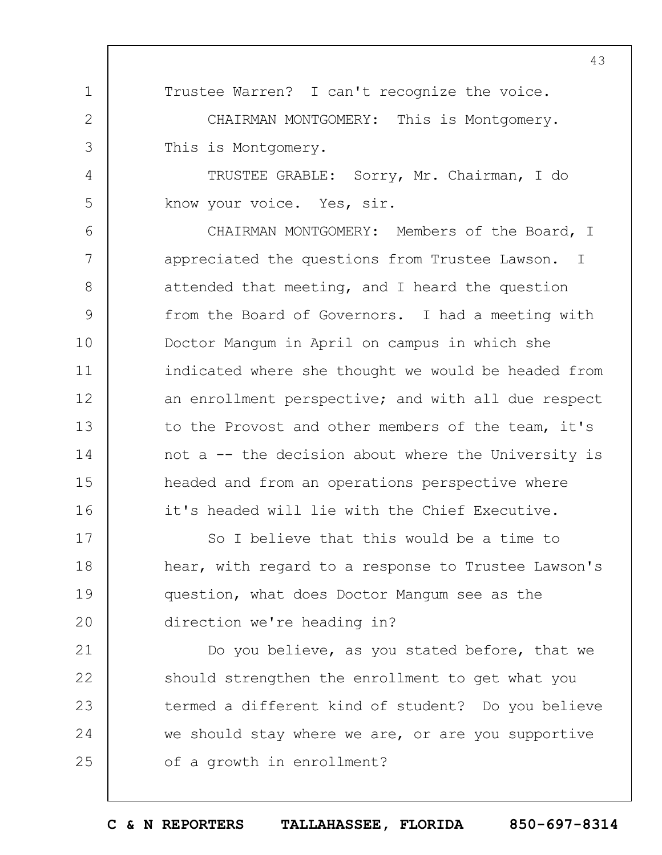43

Trustee Warren? I can't recognize the voice.

CHAIRMAN MONTGOMERY: This is Montgomery. This is Montgomery.

1

2

3

4

5

TRUSTEE GRABLE: Sorry, Mr. Chairman, I do know your voice. Yes, sir.

6 7 8 9 10 11 12 13 14 15 16 CHAIRMAN MONTGOMERY: Members of the Board, I appreciated the questions from Trustee Lawson. I attended that meeting, and I heard the question from the Board of Governors. I had a meeting with Doctor Mangum in April on campus in which she indicated where she thought we would be headed from an enrollment perspective; and with all due respect to the Provost and other members of the team, it's not a -- the decision about where the University is headed and from an operations perspective where it's headed will lie with the Chief Executive.

17 18 19  $20$ So I believe that this would be a time to hear, with regard to a response to Trustee Lawson's question, what does Doctor Mangum see as the direction we're heading in?

21 22 23 24 25 Do you believe, as you stated before, that we should strengthen the enrollment to get what you termed a different kind of student? Do you believe we should stay where we are, or are you supportive of a growth in enrollment?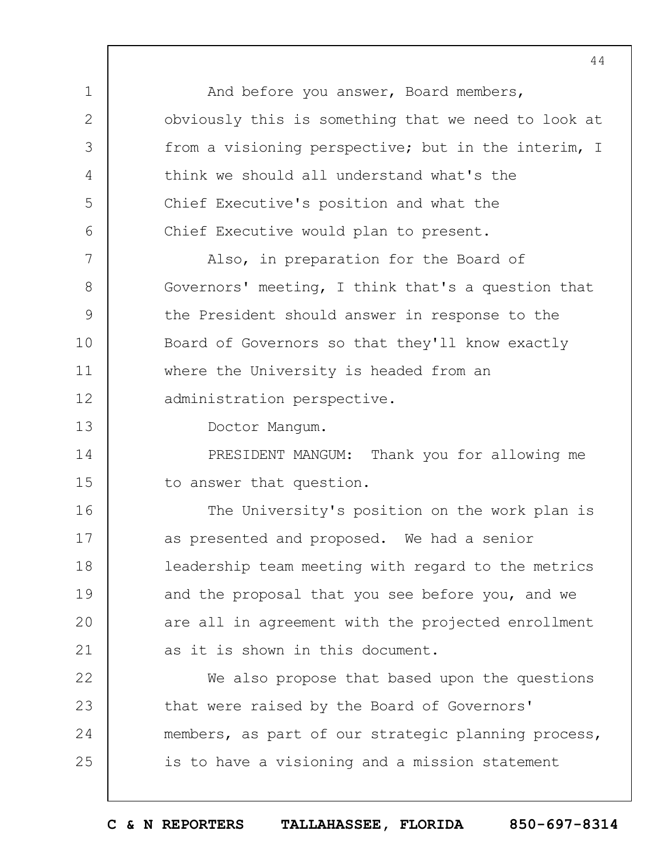1 2 3 4 5 6 7 8 9 10 11 12 13 14 15 16 17 18 19  $20$ 21 22 23 24 25 And before you answer, Board members, obviously this is something that we need to look at from a visioning perspective; but in the interim, I think we should all understand what's the Chief Executive's position and what the Chief Executive would plan to present. Also, in preparation for the Board of Governors' meeting, I think that's a question that the President should answer in response to the Board of Governors so that they'll know exactly where the University is headed from an administration perspective. Doctor Mangum. PRESIDENT MANGUM: Thank you for allowing me to answer that question. The University's position on the work plan is as presented and proposed. We had a senior leadership team meeting with regard to the metrics and the proposal that you see before you, and we are all in agreement with the projected enrollment as it is shown in this document. We also propose that based upon the questions that were raised by the Board of Governors' members, as part of our strategic planning process, is to have a visioning and a mission statement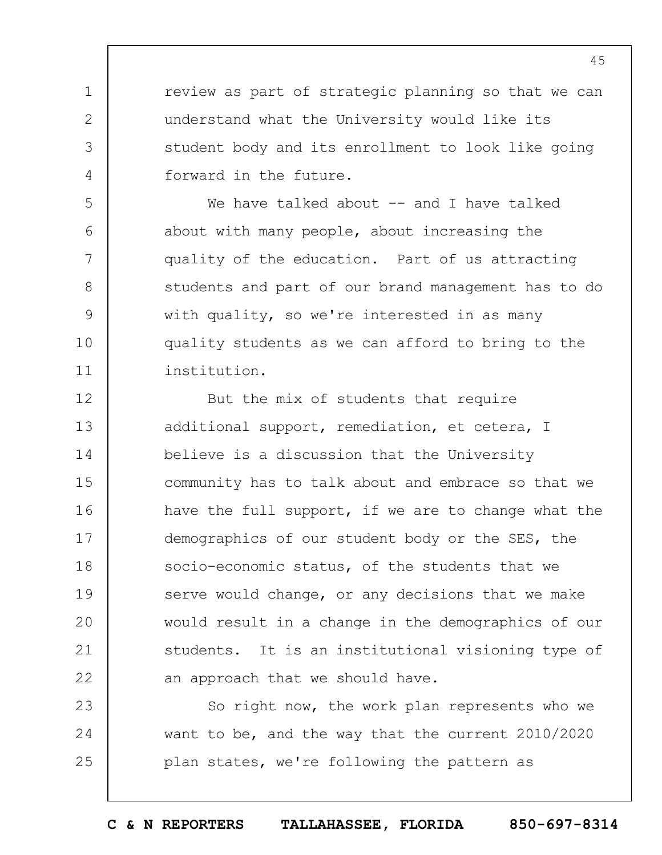review as part of strategic planning so that we can understand what the University would like its student body and its enrollment to look like going forward in the future.

1

2

3

4

5

6

7

8

9

10

11

23

24

25

We have talked about -- and I have talked about with many people, about increasing the quality of the education. Part of us attracting students and part of our brand management has to do with quality, so we're interested in as many quality students as we can afford to bring to the institution.

12 13 14 15 16 17 18 19  $20$ 21 22 But the mix of students that require additional support, remediation, et cetera, I believe is a discussion that the University community has to talk about and embrace so that we have the full support, if we are to change what the demographics of our student body or the SES, the socio-economic status, of the students that we serve would change, or any decisions that we make would result in a change in the demographics of our students. It is an institutional visioning type of an approach that we should have.

So right now, the work plan represents who we want to be, and the way that the current 2010/2020 plan states, we're following the pattern as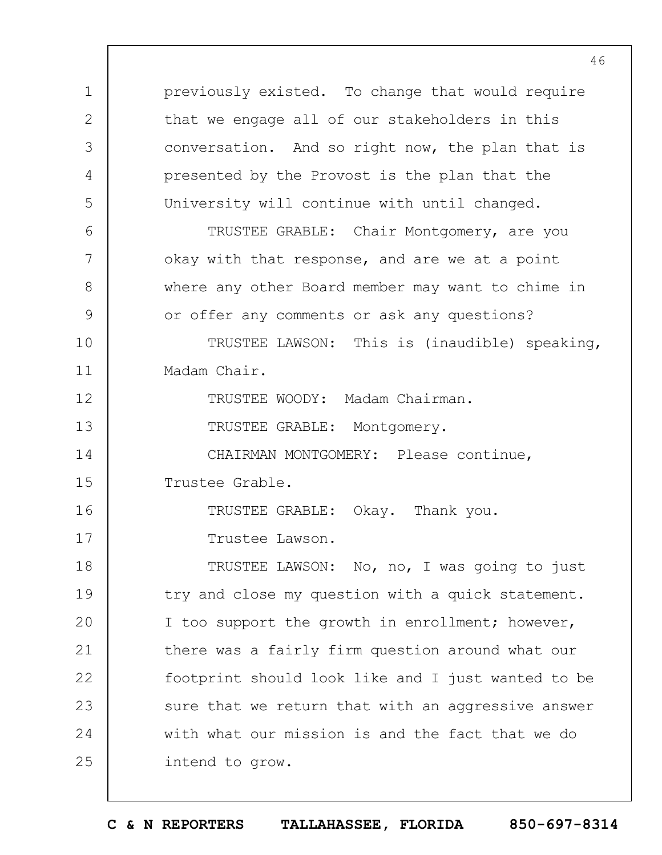1 2 3 4 5 6 7 8 9 10 11 12 13 14 15 16 17 18 19  $20$ 21 22 23 24 25 previously existed. To change that would require that we engage all of our stakeholders in this conversation. And so right now, the plan that is presented by the Provost is the plan that the University will continue with until changed. TRUSTEE GRABLE: Chair Montgomery, are you okay with that response, and are we at a point where any other Board member may want to chime in or offer any comments or ask any questions? TRUSTEE LAWSON: This is (inaudible) speaking, Madam Chair. TRUSTEE WOODY: Madam Chairman. TRUSTEE GRABLE: Montgomery. CHAIRMAN MONTGOMERY: Please continue, Trustee Grable. TRUSTEE GRABLE: Okay. Thank you. Trustee Lawson. TRUSTEE LAWSON: No, no, I was going to just try and close my question with a quick statement. I too support the growth in enrollment; however, there was a fairly firm question around what our footprint should look like and I just wanted to be sure that we return that with an aggressive answer with what our mission is and the fact that we do intend to grow.

46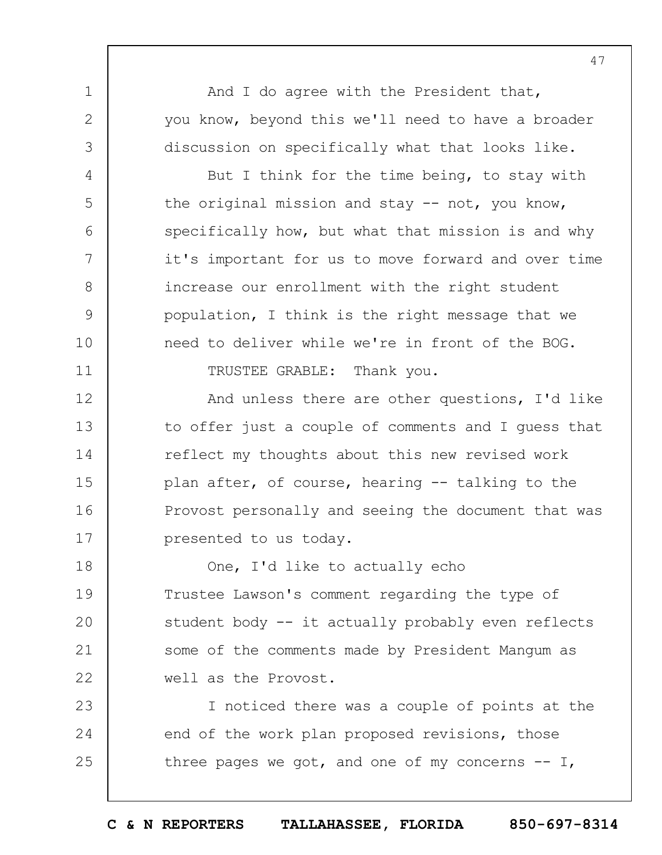And I do agree with the President that, you know, beyond this we'll need to have a broader discussion on specifically what that looks like.

1

2

3

4

5

6

7

8

9

10

11

But I think for the time being, to stay with the original mission and stay -- not, you know, specifically how, but what that mission is and why it's important for us to move forward and over time increase our enrollment with the right student population, I think is the right message that we need to deliver while we're in front of the BOG.

TRUSTEE GRABLE: Thank you.

12 13 14 15 16 17 And unless there are other questions, I'd like to offer just a couple of comments and I guess that reflect my thoughts about this new revised work plan after, of course, hearing -- talking to the Provost personally and seeing the document that was presented to us today.

18 19  $20$ 21 22 One, I'd like to actually echo Trustee Lawson's comment regarding the type of student body -- it actually probably even reflects some of the comments made by President Mangum as well as the Provost.

23 24 25 I noticed there was a couple of points at the end of the work plan proposed revisions, those three pages we got, and one of my concerns  $-1$ ,

47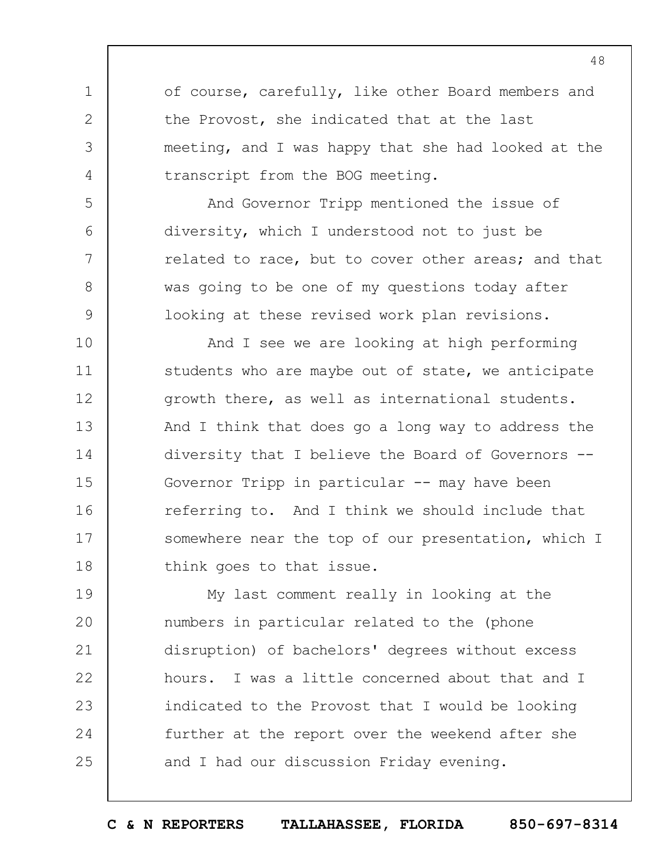of course, carefully, like other Board members and the Provost, she indicated that at the last meeting, and I was happy that she had looked at the transcript from the BOG meeting.

1

2

3

4

5

6

7

8

9

And Governor Tripp mentioned the issue of diversity, which I understood not to just be related to race, but to cover other areas; and that was going to be one of my questions today after looking at these revised work plan revisions.

10 11 12 13 14 15 16 17 18 And I see we are looking at high performing students who are maybe out of state, we anticipate growth there, as well as international students. And I think that does go a long way to address the diversity that I believe the Board of Governors -- Governor Tripp in particular -- may have been referring to. And I think we should include that somewhere near the top of our presentation, which I think goes to that issue.

19  $20$ 21 22 23 24 25 My last comment really in looking at the numbers in particular related to the (phone disruption) of bachelors' degrees without excess hours. I was a little concerned about that and I indicated to the Provost that I would be looking further at the report over the weekend after she and I had our discussion Friday evening.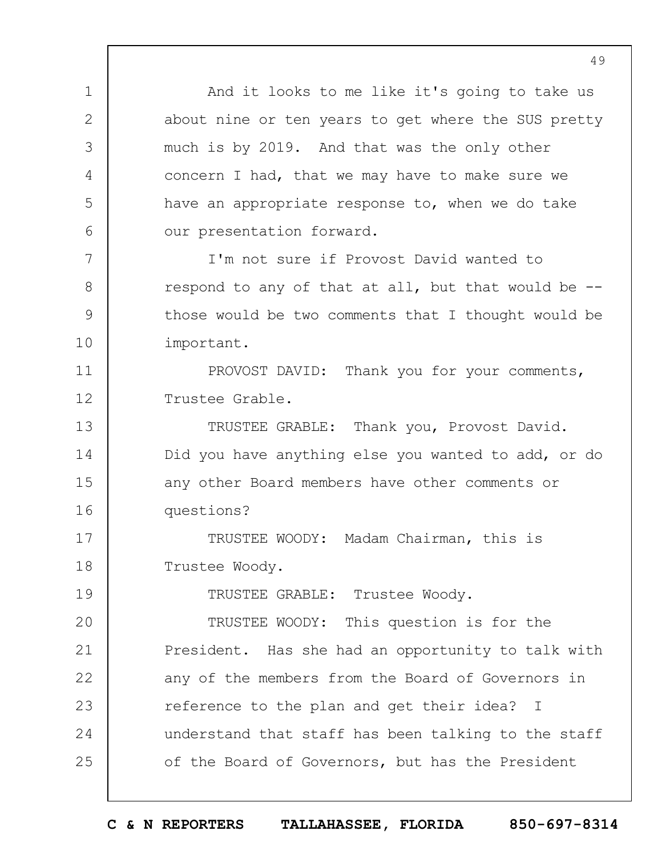And it looks to me like it's going to take us about nine or ten years to get where the SUS pretty much is by 2019. And that was the only other concern I had, that we may have to make sure we have an appropriate response to, when we do take our presentation forward.

1

2

3

4

5

6

7

8

9

10

19

I'm not sure if Provost David wanted to respond to any of that at all, but that would be - those would be two comments that I thought would be important.

11 12 PROVOST DAVID: Thank you for your comments, Trustee Grable.

13 14 15 16 TRUSTEE GRABLE: Thank you, Provost David. Did you have anything else you wanted to add, or do any other Board members have other comments or questions?

17 18 TRUSTEE WOODY: Madam Chairman, this is Trustee Woody.

TRUSTEE GRABLE: Trustee Woody.

 $20$ 21 22 23 24 25 TRUSTEE WOODY: This question is for the President. Has she had an opportunity to talk with any of the members from the Board of Governors in reference to the plan and get their idea? I understand that staff has been talking to the staff of the Board of Governors, but has the President

**C & N REPORTERS TALLAHASSEE, FLORIDA 850-697-8314**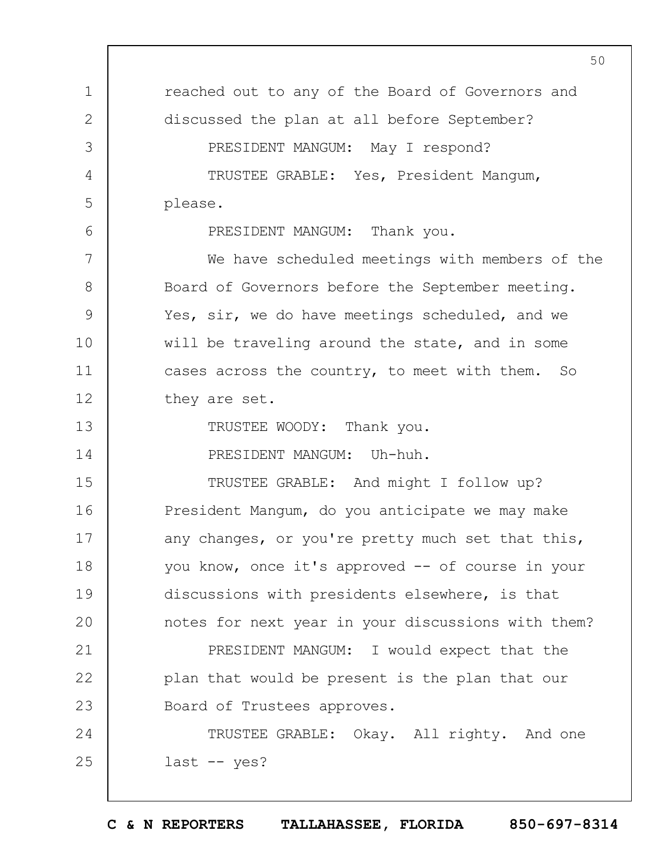1 2 3 4 5 6 7 8 9 10 11 12 13 14 15 16 17 18 19  $20$ 21 22 23 24 25 50 reached out to any of the Board of Governors and discussed the plan at all before September? PRESIDENT MANGUM: May I respond? TRUSTEE GRABLE: Yes, President Mangum, please. PRESIDENT MANGUM: Thank you. We have scheduled meetings with members of the Board of Governors before the September meeting. Yes, sir, we do have meetings scheduled, and we will be traveling around the state, and in some cases across the country, to meet with them. So they are set. TRUSTEE WOODY: Thank you. PRESIDENT MANGUM: Uh-huh. TRUSTEE GRABLE: And might I follow up? President Mangum, do you anticipate we may make any changes, or you're pretty much set that this, you know, once it's approved -- of course in your discussions with presidents elsewhere, is that notes for next year in your discussions with them? PRESIDENT MANGUM: I would expect that the plan that would be present is the plan that our Board of Trustees approves. TRUSTEE GRABLE: Okay. All righty. And one last -- yes?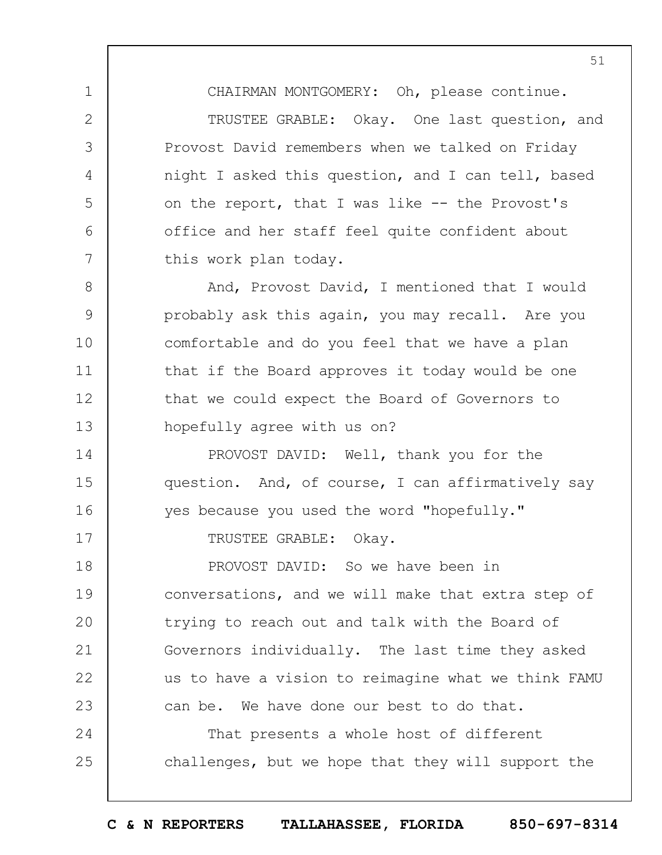CHAIRMAN MONTGOMERY: Oh, please continue. TRUSTEE GRABLE: Okay. One last question, and Provost David remembers when we talked on Friday night I asked this question, and I can tell, based on the report, that I was like -- the Provost's office and her staff feel quite confident about this work plan today.

1

2

3

4

5

6

7

17

8 9 10 11 12 13 And, Provost David, I mentioned that I would probably ask this again, you may recall. Are you comfortable and do you feel that we have a plan that if the Board approves it today would be one that we could expect the Board of Governors to hopefully agree with us on?

14 15 16 PROVOST DAVID: Well, thank you for the question. And, of course, I can affirmatively say yes because you used the word "hopefully."

TRUSTEE GRABLE: Okay.

18 19  $20$ 21 22 23 PROVOST DAVID: So we have been in conversations, and we will make that extra step of trying to reach out and talk with the Board of Governors individually. The last time they asked us to have a vision to reimagine what we think FAMU can be. We have done our best to do that.

24 25 That presents a whole host of different challenges, but we hope that they will support the

**C & N REPORTERS TALLAHASSEE, FLORIDA 850-697-8314**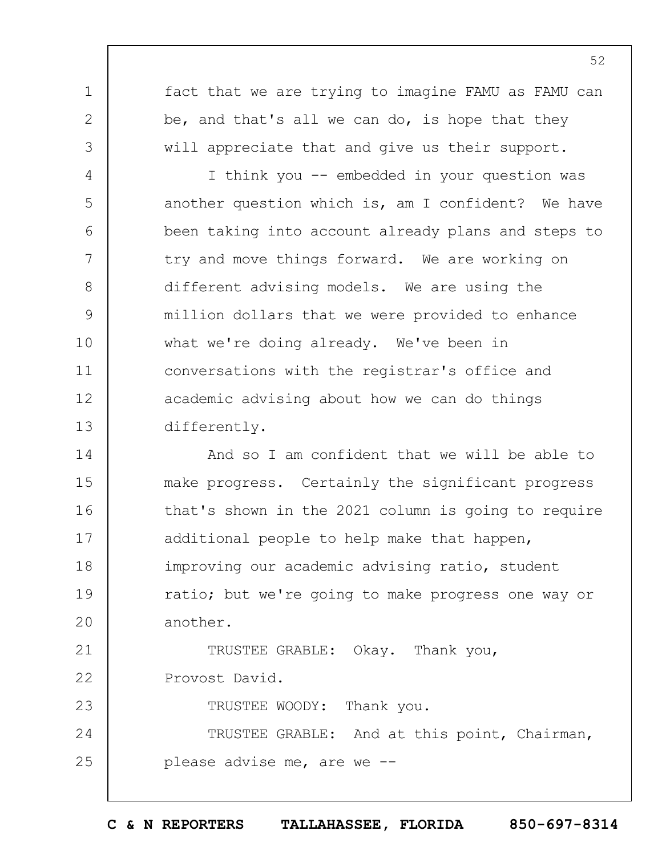fact that we are trying to imagine FAMU as FAMU can be, and that's all we can do, is hope that they will appreciate that and give us their support.

1

2

3

4

5

6

7

8

9

10

11

12

13

23

I think you -- embedded in your question was another question which is, am I confident? We have been taking into account already plans and steps to try and move things forward. We are working on different advising models. We are using the million dollars that we were provided to enhance what we're doing already. We've been in conversations with the registrar's office and academic advising about how we can do things differently.

14 15 16 17 18 19  $20$ 21 And so I am confident that we will be able to make progress. Certainly the significant progress that's shown in the 2021 column is going to require additional people to help make that happen, improving our academic advising ratio, student ratio; but we're going to make progress one way or another.

22 TRUSTEE GRABLE: Okay. Thank you, Provost David.

TRUSTEE WOODY: Thank you.

24 25 TRUSTEE GRABLE: And at this point, Chairman, please advise me, are we --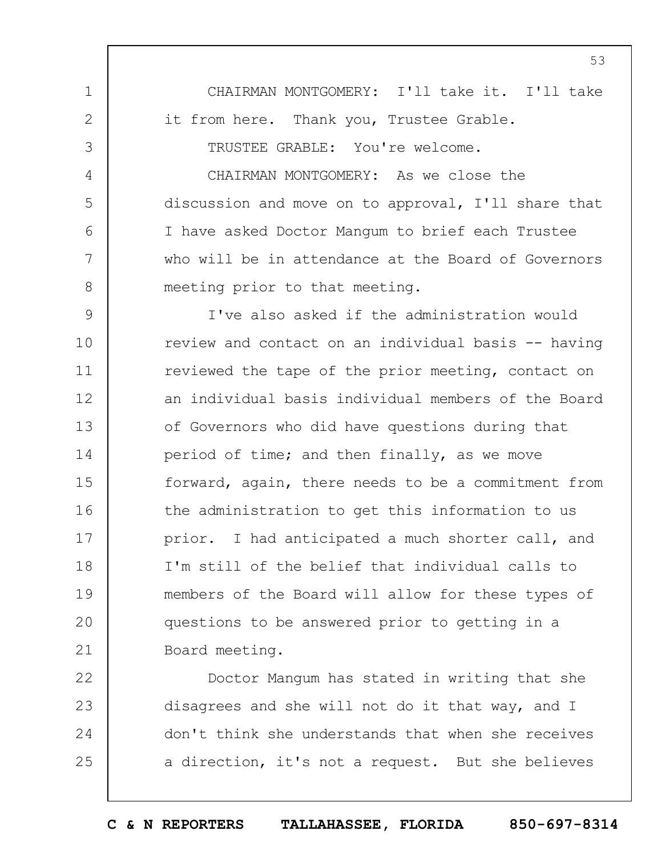1 2 3 4 5 6 7 8 9 10 11 12 13 14 15 16 17 18 19  $20$ 21 CHAIRMAN MONTGOMERY: I'll take it. I'll take it from here. Thank you, Trustee Grable. TRUSTEE GRABLE: You're welcome. CHAIRMAN MONTGOMERY: As we close the discussion and move on to approval, I'll share that I have asked Doctor Mangum to brief each Trustee who will be in attendance at the Board of Governors meeting prior to that meeting. I've also asked if the administration would review and contact on an individual basis -- having reviewed the tape of the prior meeting, contact on an individual basis individual members of the Board of Governors who did have questions during that period of time; and then finally, as we move forward, again, there needs to be a commitment from the administration to get this information to us prior. I had anticipated a much shorter call, and I'm still of the belief that individual calls to members of the Board will allow for these types of questions to be answered prior to getting in a Board meeting.

22 23 24 25 Doctor Mangum has stated in writing that she disagrees and she will not do it that way, and I don't think she understands that when she receives a direction, it's not a request. But she believes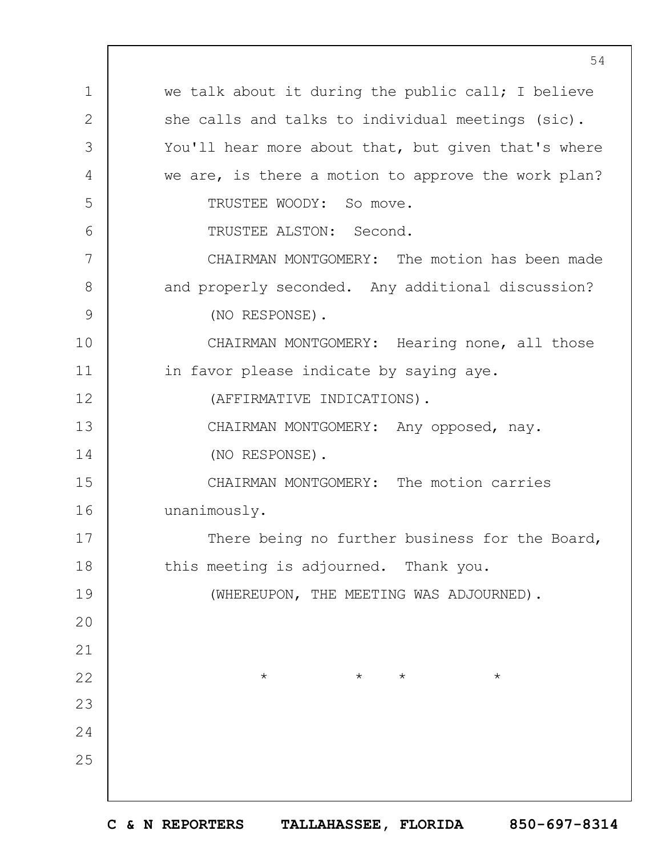1 2 3 4 5 6 7 8 9 10 11 12 13 14 15 16 17 18 19  $20$ 21 22 23 24 25 54 we talk about it during the public call; I believe she calls and talks to individual meetings (sic). You'll hear more about that, but given that's where we are, is there a motion to approve the work plan? TRUSTEE WOODY: So move. TRUSTEE ALSTON: Second. CHAIRMAN MONTGOMERY: The motion has been made and properly seconded. Any additional discussion? (NO RESPONSE). CHAIRMAN MONTGOMERY: Hearing none, all those in favor please indicate by saying aye. (AFFIRMATIVE INDICATIONS). CHAIRMAN MONTGOMERY: Any opposed, nay. (NO RESPONSE). CHAIRMAN MONTGOMERY: The motion carries unanimously. There being no further business for the Board, this meeting is adjourned. Thank you. (WHEREUPON, THE MEETING WAS ADJOURNED).  $\star$   $\star$   $\star$   $\star$